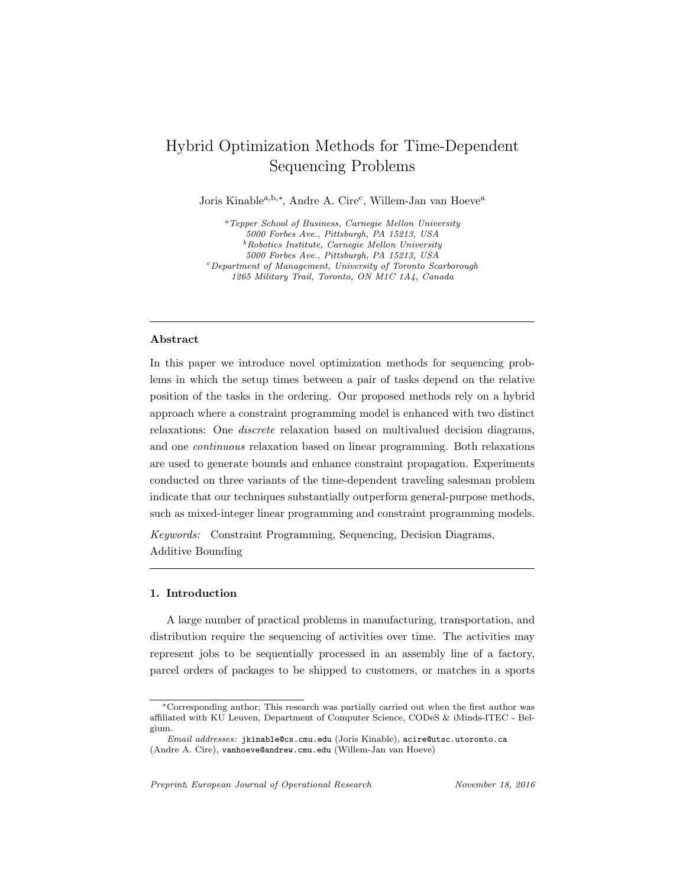# Hybrid Optimization Methods for Time-Dependent Sequencing Problems

Joris Kinable<sup>a, b,\*</sup>, Andre A. Cire<sup>c</sup>, Willem-Jan van Hoeve<sup>a</sup>

<sup>a</sup>Tepper School of Business, Carnegie Mellon University 5000 Forbes Ave., Pittsburgh, PA 15213, USA  $\emph{b}$  Robotics Institute, Carnegie Mellon University 5000 Forbes Ave., Pittsburgh, PA 15213, USA <sup>c</sup>Department of Management, University of Toronto Scarborough 1265 Military Trail, Toronto, ON M1C 1A4, Canada

# Abstract

In this paper we introduce novel optimization methods for sequencing problems in which the setup times between a pair of tasks depend on the relative position of the tasks in the ordering. Our proposed methods rely on a hybrid approach where a constraint programming model is enhanced with two distinct relaxations: One discrete relaxation based on multivalued decision diagrams, and one continuous relaxation based on linear programming. Both relaxations are used to generate bounds and enhance constraint propagation. Experiments conducted on three variants of the time-dependent traveling salesman problem indicate that our techniques substantially outperform general-purpose methods, such as mixed-integer linear programming and constraint programming models.

Keywords: Constraint Programming, Sequencing, Decision Diagrams, Additive Bounding

# 1. Introduction

A large number of practical problems in manufacturing, transportation, and distribution require the sequencing of activities over time. The activities may represent jobs to be sequentially processed in an assembly line of a factory, parcel orders of packages to be shipped to customers, or matches in a sports

<sup>∗</sup>Corresponding author; This research was partially carried out when the first author was affiliated with KU Leuven, Department of Computer Science, CODeS & iMinds-ITEC - Belgium.

Email addresses: jkinable@cs.cmu.edu (Joris Kinable), acire@utsc.utoronto.ca (Andre A. Cire), vanhoeve@andrew.cmu.edu (Willem-Jan van Hoeve)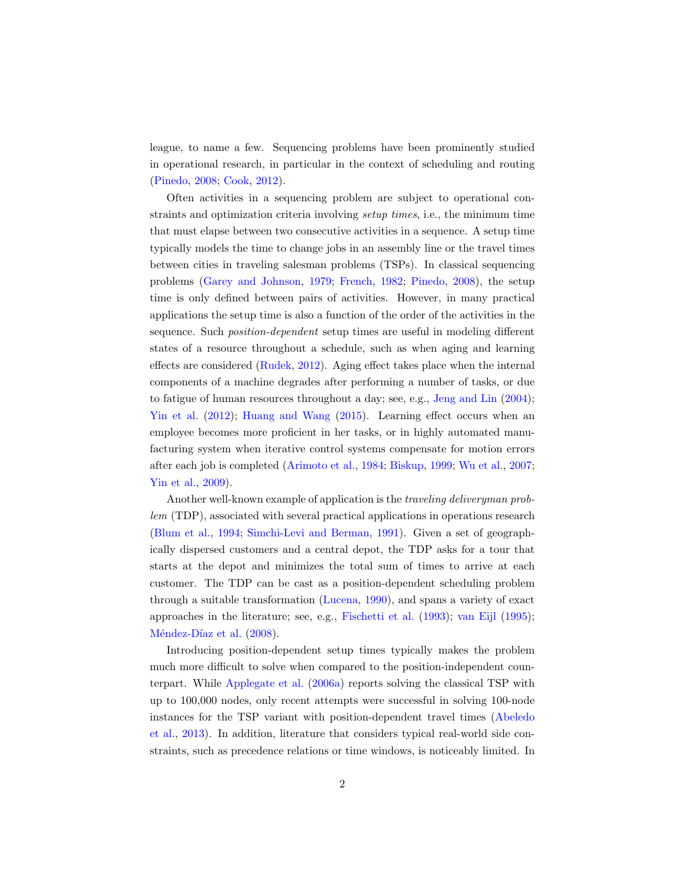league, to name a few. Sequencing problems have been prominently studied in operational research, in particular in the context of scheduling and routing [\(Pinedo,](#page-31-0) [2008;](#page-31-0) [Cook,](#page-29-0) [2012\)](#page-29-0).

Often activities in a sequencing problem are subject to operational constraints and optimization criteria involving setup times, i.e., the minimum time that must elapse between two consecutive activities in a sequence. A setup time typically models the time to change jobs in an assembly line or the travel times between cities in traveling salesman problems (TSPs). In classical sequencing problems [\(Garey and Johnson,](#page-29-1) [1979;](#page-29-1) [French,](#page-29-2) [1982;](#page-29-2) [Pinedo,](#page-31-0) [2008\)](#page-31-0), the setup time is only defined between pairs of activities. However, in many practical applications the setup time is also a function of the order of the activities in the sequence. Such position-dependent setup times are useful in modeling different states of a resource throughout a schedule, such as when aging and learning effects are considered [\(Rudek,](#page-31-1) [2012\)](#page-31-1). Aging effect takes place when the internal components of a machine degrades after performing a number of tasks, or due to fatigue of human resources throughout a day; see, e.g., [Jeng and Lin](#page-30-0) [\(2004\)](#page-30-0); [Yin et al.](#page-32-0) [\(2012\)](#page-32-0); [Huang and Wang](#page-30-1) [\(2015\)](#page-30-1). Learning effect occurs when an employee becomes more proficient in her tasks, or in highly automated manufacturing system when iterative control systems compensate for motion errors after each job is completed [\(Arimoto et al.,](#page-28-0) [1984;](#page-28-0) [Biskup,](#page-28-1) [1999;](#page-28-1) [Wu et al.,](#page-31-2) [2007;](#page-31-2) [Yin et al.,](#page-31-3) [2009\)](#page-31-3).

Another well-known example of application is the traveling deliveryman problem (TDP), associated with several practical applications in operations research [\(Blum et al.,](#page-28-2) [1994;](#page-28-2) [Simchi-Levi and Berman,](#page-31-4) [1991\)](#page-31-4). Given a set of geographically dispersed customers and a central depot, the TDP asks for a tour that starts at the depot and minimizes the total sum of times to arrive at each customer. The TDP can be cast as a position-dependent scheduling problem through a suitable transformation [\(Lucena,](#page-30-2) [1990\)](#page-30-2), and spans a variety of exact approaches in the literature; see, e.g., [Fischetti et al.](#page-29-3) [\(1993\)](#page-29-3); [van Eijl](#page-31-5) [\(1995\)](#page-31-5); Méndez-Díaz et al. [\(2008\)](#page-30-3).

Introducing position-dependent setup times typically makes the problem much more difficult to solve when compared to the position-independent counterpart. While [Applegate et al.](#page-28-3) [\(2006a\)](#page-28-3) reports solving the classical TSP with up to 100,000 nodes, only recent attempts were successful in solving 100-node instances for the TSP variant with position-dependent travel times [\(Abeledo](#page-28-4) [et al.,](#page-28-4) [2013\)](#page-28-4). In addition, literature that considers typical real-world side constraints, such as precedence relations or time windows, is noticeably limited. In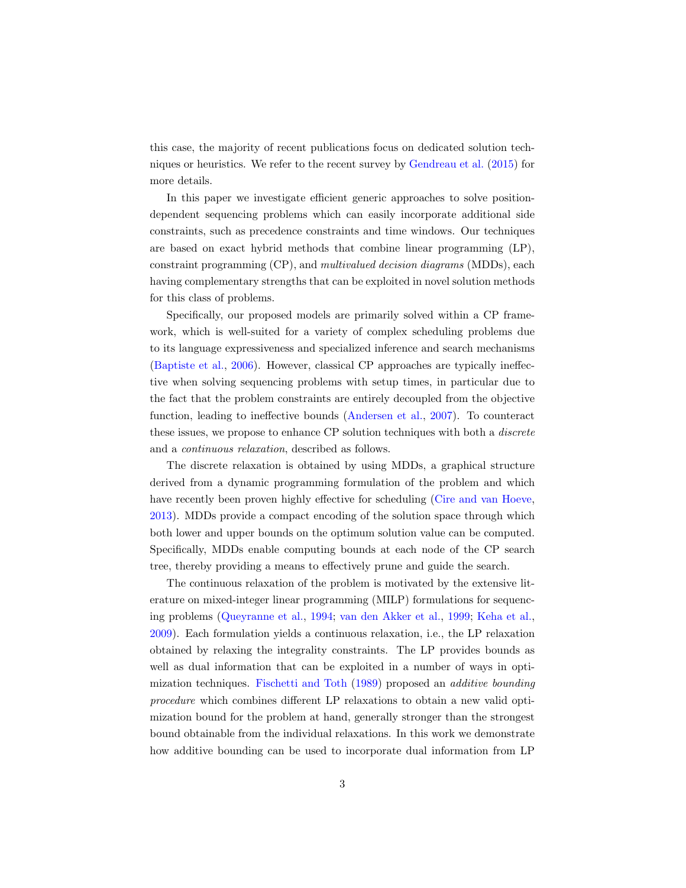this case, the majority of recent publications focus on dedicated solution techniques or heuristics. We refer to the recent survey by [Gendreau et al.](#page-29-4) [\(2015\)](#page-29-4) for more details.

In this paper we investigate efficient generic approaches to solve positiondependent sequencing problems which can easily incorporate additional side constraints, such as precedence constraints and time windows. Our techniques are based on exact hybrid methods that combine linear programming (LP), constraint programming (CP), and multivalued decision diagrams (MDDs), each having complementary strengths that can be exploited in novel solution methods for this class of problems.

Specifically, our proposed models are primarily solved within a CP framework, which is well-suited for a variety of complex scheduling problems due to its language expressiveness and specialized inference and search mechanisms [\(Baptiste et al.,](#page-28-5) [2006\)](#page-28-5). However, classical CP approaches are typically ineffective when solving sequencing problems with setup times, in particular due to the fact that the problem constraints are entirely decoupled from the objective function, leading to ineffective bounds [\(Andersen et al.,](#page-28-6) [2007\)](#page-28-6). To counteract these issues, we propose to enhance CP solution techniques with both a discrete and a continuous relaxation, described as follows.

The discrete relaxation is obtained by using MDDs, a graphical structure derived from a dynamic programming formulation of the problem and which have recently been proven highly effective for scheduling [\(Cire and van Hoeve,](#page-29-5) [2013\)](#page-29-5). MDDs provide a compact encoding of the solution space through which both lower and upper bounds on the optimum solution value can be computed. Specifically, MDDs enable computing bounds at each node of the CP search tree, thereby providing a means to effectively prune and guide the search.

The continuous relaxation of the problem is motivated by the extensive literature on mixed-integer linear programming (MILP) formulations for sequencing problems [\(Queyranne et al.,](#page-31-6) [1994;](#page-31-6) [van den Akker et al.,](#page-31-7) [1999;](#page-31-7) [Keha et al.,](#page-30-4) [2009\)](#page-30-4). Each formulation yields a continuous relaxation, i.e., the LP relaxation obtained by relaxing the integrality constraints. The LP provides bounds as well as dual information that can be exploited in a number of ways in optimization techniques. [Fischetti and Toth](#page-29-6) [\(1989\)](#page-29-6) proposed an additive bounding procedure which combines different LP relaxations to obtain a new valid optimization bound for the problem at hand, generally stronger than the strongest bound obtainable from the individual relaxations. In this work we demonstrate how additive bounding can be used to incorporate dual information from LP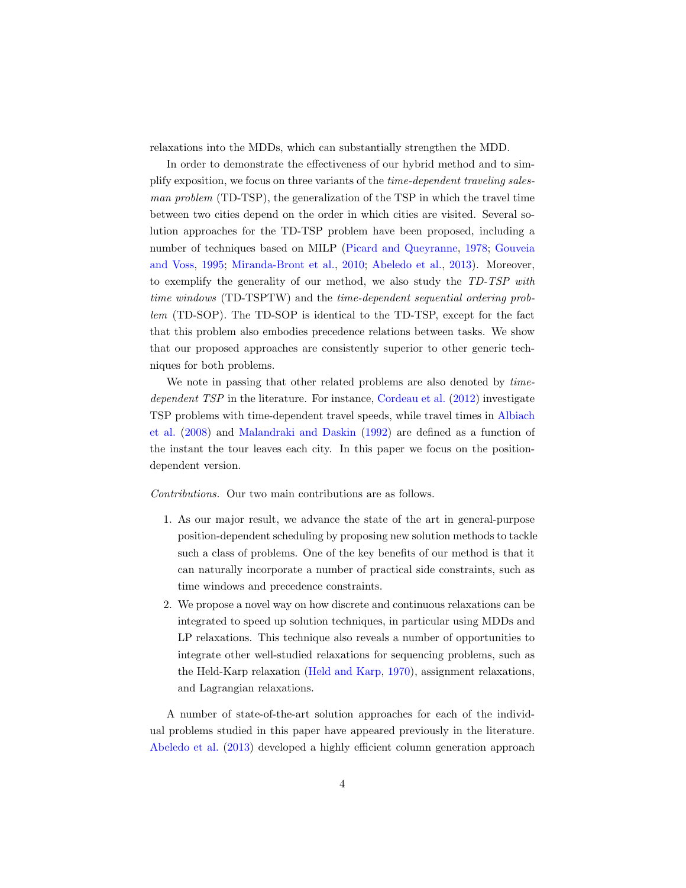relaxations into the MDDs, which can substantially strengthen the MDD.

In order to demonstrate the effectiveness of our hybrid method and to simplify exposition, we focus on three variants of the time-dependent traveling salesman problem (TD-TSP), the generalization of the TSP in which the travel time between two cities depend on the order in which cities are visited. Several solution approaches for the TD-TSP problem have been proposed, including a number of techniques based on MILP [\(Picard and Queyranne,](#page-31-8) [1978;](#page-31-8) [Gouveia](#page-29-7) [and Voss,](#page-29-7) [1995;](#page-29-7) [Miranda-Bront et al.,](#page-30-5) [2010;](#page-30-5) [Abeledo et al.,](#page-28-4) [2013\)](#page-28-4). Moreover, to exemplify the generality of our method, we also study the TD-TSP with time windows (TD-TSPTW) and the time-dependent sequential ordering problem (TD-SOP). The TD-SOP is identical to the TD-TSP, except for the fact that this problem also embodies precedence relations between tasks. We show that our proposed approaches are consistently superior to other generic techniques for both problems.

We note in passing that other related problems are also denoted by *time*dependent TSP in the literature. For instance, [Cordeau et al.](#page-29-8) [\(2012\)](#page-29-8) investigate TSP problems with time-dependent travel speeds, while travel times in [Albiach](#page-28-7) [et al.](#page-28-7) [\(2008\)](#page-28-7) and [Malandraki and Daskin](#page-30-6) [\(1992\)](#page-30-6) are defined as a function of the instant the tour leaves each city. In this paper we focus on the positiondependent version.

Contributions. Our two main contributions are as follows.

- 1. As our major result, we advance the state of the art in general-purpose position-dependent scheduling by proposing new solution methods to tackle such a class of problems. One of the key benefits of our method is that it can naturally incorporate a number of practical side constraints, such as time windows and precedence constraints.
- 2. We propose a novel way on how discrete and continuous relaxations can be integrated to speed up solution techniques, in particular using MDDs and LP relaxations. This technique also reveals a number of opportunities to integrate other well-studied relaxations for sequencing problems, such as the Held-Karp relaxation [\(Held and Karp,](#page-30-7) [1970\)](#page-30-7), assignment relaxations, and Lagrangian relaxations.

A number of state-of-the-art solution approaches for each of the individual problems studied in this paper have appeared previously in the literature. [Abeledo et al.](#page-28-4) [\(2013\)](#page-28-4) developed a highly efficient column generation approach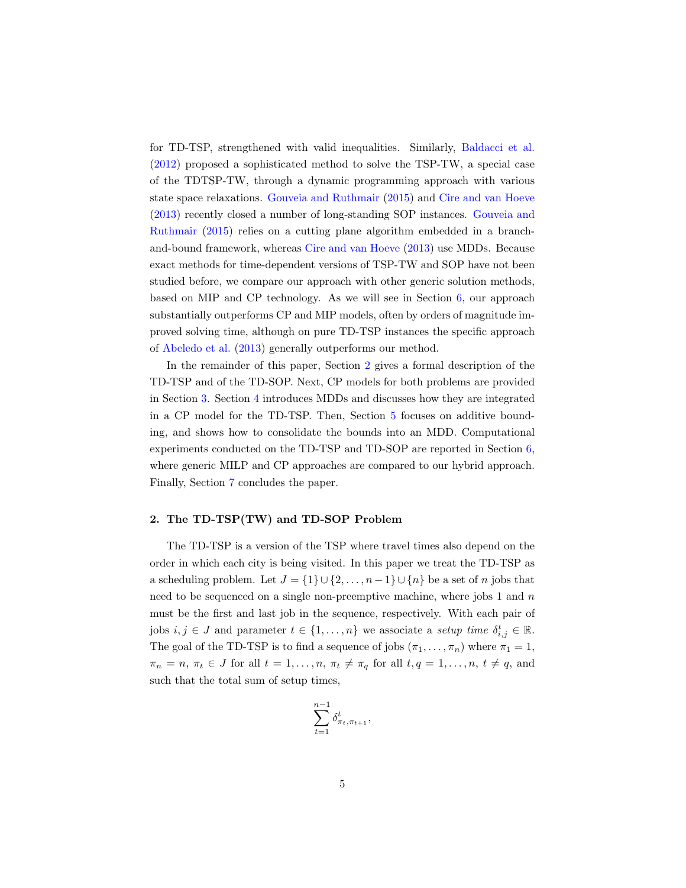for TD-TSP, strengthened with valid inequalities. Similarly, [Baldacci et al.](#page-28-8) [\(2012\)](#page-28-8) proposed a sophisticated method to solve the TSP-TW, a special case of the TDTSP-TW, through a dynamic programming approach with various state space relaxations. [Gouveia and Ruthmair](#page-29-9) [\(2015\)](#page-29-9) and [Cire and van Hoeve](#page-29-5) [\(2013\)](#page-29-5) recently closed a number of long-standing SOP instances. [Gouveia and](#page-29-9) [Ruthmair](#page-29-9) [\(2015\)](#page-29-9) relies on a cutting plane algorithm embedded in a branchand-bound framework, whereas [Cire and van Hoeve](#page-29-5) [\(2013\)](#page-29-5) use MDDs. Because exact methods for time-dependent versions of TSP-TW and SOP have not been studied before, we compare our approach with other generic solution methods, based on MIP and CP technology. As we will see in Section [6,](#page-19-0) our approach substantially outperforms CP and MIP models, often by orders of magnitude improved solving time, although on pure TD-TSP instances the specific approach of [Abeledo et al.](#page-28-4) [\(2013\)](#page-28-4) generally outperforms our method.

In the remainder of this paper, Section [2](#page-4-0) gives a formal description of the TD-TSP and of the TD-SOP. Next, CP models for both problems are provided in Section [3.](#page-5-0) Section [4](#page-7-0) introduces MDDs and discusses how they are integrated in a CP model for the TD-TSP. Then, Section [5](#page-12-0) focuses on additive bounding, and shows how to consolidate the bounds into an MDD. Computational experiments conducted on the TD-TSP and TD-SOP are reported in Section [6,](#page-19-0) where generic MILP and CP approaches are compared to our hybrid approach. Finally, Section [7](#page-27-0) concludes the paper.

## <span id="page-4-0"></span>2. The TD-TSP(TW) and TD-SOP Problem

The TD-TSP is a version of the TSP where travel times also depend on the order in which each city is being visited. In this paper we treat the TD-TSP as a scheduling problem. Let  $J = \{1\} \cup \{2, \ldots, n-1\} \cup \{n\}$  be a set of n jobs that need to be sequenced on a single non-preemptive machine, where jobs 1 and n must be the first and last job in the sequence, respectively. With each pair of jobs  $i, j \in J$  and parameter  $t \in \{1, ..., n\}$  we associate a setup time  $\delta_{i,j}^t \in \mathbb{R}$ . The goal of the TD-TSP is to find a sequence of jobs  $(\pi_1, \ldots, \pi_n)$  where  $\pi_1 = 1$ ,  $\pi_n = n, \pi_t \in J$  for all  $t = 1, \ldots, n, \pi_t \neq \pi_q$  for all  $t, q = 1, \ldots, n, t \neq q$ , and such that the total sum of setup times,

$$
\sum_{t=1}^{n-1} \delta^t_{\pi_t, \pi_{t+1}},
$$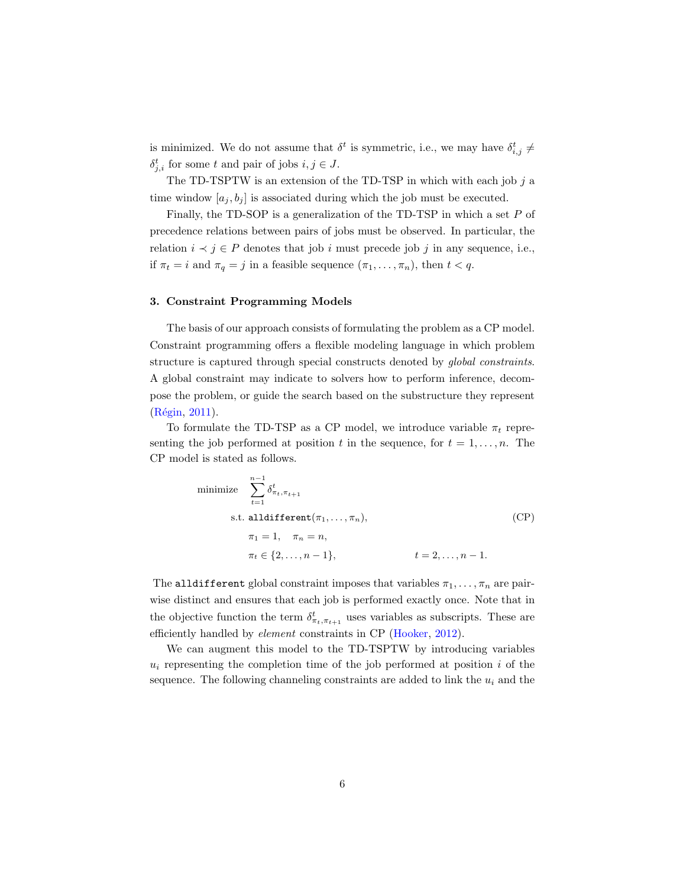is minimized. We do not assume that  $\delta^t$  is symmetric, i.e., we may have  $\delta_{i,j}^t \neq$  $\delta_{j,i}^t$  for some t and pair of jobs  $i, j \in J$ .

The TD-TSPTW is an extension of the TD-TSP in which with each job  $j$  a time window  $[a_j, b_j]$  is associated during which the job must be executed.

Finally, the TD-SOP is a generalization of the TD-TSP in which a set P of precedence relations between pairs of jobs must be observed. In particular, the relation  $i \prec j \in P$  denotes that job i must precede job j in any sequence, i.e., if  $\pi_t = i$  and  $\pi_q = j$  in a feasible sequence  $(\pi_1, \ldots, \pi_n)$ , then  $t < q$ .

## <span id="page-5-0"></span>3. Constraint Programming Models

The basis of our approach consists of formulating the problem as a CP model. Constraint programming offers a flexible modeling language in which problem structure is captured through special constructs denoted by global constraints. A global constraint may indicate to solvers how to perform inference, decompose the problem, or guide the search based on the substructure they represent (Régin, [2011\)](#page-31-9).

To formulate the TD-TSP as a CP model, we introduce variable  $\pi_t$  representing the job performed at position t in the sequence, for  $t = 1, \ldots, n$ . The CP model is stated as follows.

minimize 
$$
\sum_{t=1}^{n-1} \delta_{\pi_t, \pi_{t+1}}^t
$$
  
s.t.  $\text{alldifferent}(\pi_1, ..., \pi_n)$ ,  

$$
\pi_1 = 1, \quad \pi_n = n,
$$
  

$$
\pi_t \in \{2, ..., n-1\}, \qquad t = 2, ..., n-1.
$$
 (CP)

The alldifferent global constraint imposes that variables  $\pi_1, \ldots, \pi_n$  are pairwise distinct and ensures that each job is performed exactly once. Note that in the objective function the term  $\delta^t_{\pi_t, \pi_{t+1}}$  uses variables as subscripts. These are efficiently handled by element constraints in CP [\(Hooker,](#page-30-8) [2012\)](#page-30-8).

We can augment this model to the TD-TSPTW by introducing variables  $u_i$  representing the completion time of the job performed at position i of the sequence. The following channeling constraints are added to link the  $u_i$  and the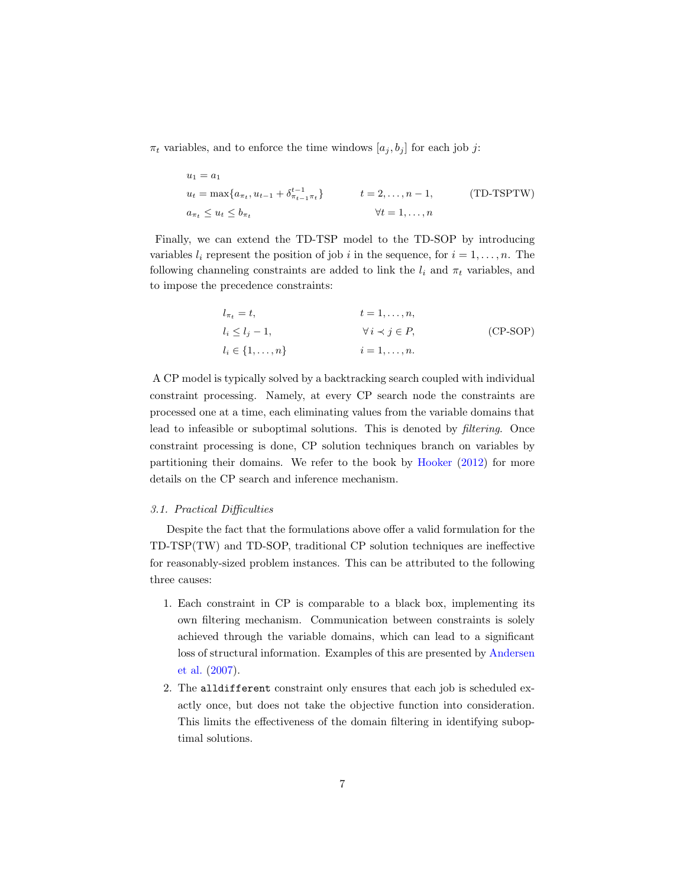$\pi_t$  variables, and to enforce the time windows  $[a_j, b_j]$  for each job j:

$$
u_1 = a_1
$$
  
\n
$$
u_t = \max\{a_{\pi_t}, u_{t-1} + \delta_{\pi_{t-1}\pi_t}^{t-1}\} \qquad t = 2, ..., n-1,
$$
 (TD-TSPTW)  
\n
$$
a_{\pi_t} \le u_t \le b_{\pi_t} \qquad \forall t = 1, ..., n
$$

Finally, we can extend the TD-TSP model to the TD-SOP by introducing variables  $l_i$  represent the position of job i in the sequence, for  $i = 1, \ldots, n$ . The following channeling constraints are added to link the  $l_i$  and  $\pi_t$  variables, and to impose the precedence constraints:

$$
l_{\pi_t} = t,
$$
  
\n
$$
l_i \le l_j - 1,
$$
  
\n
$$
l_i \le \{1, ..., n\}
$$
  
\n
$$
i = 1, ..., n.
$$
  
\n
$$
(CP-SOP)
$$
  
\n
$$
i = 1, ..., n.
$$

A CP model is typically solved by a backtracking search coupled with individual constraint processing. Namely, at every CP search node the constraints are processed one at a time, each eliminating values from the variable domains that lead to infeasible or suboptimal solutions. This is denoted by filtering. Once constraint processing is done, CP solution techniques branch on variables by partitioning their domains. We refer to the book by [Hooker](#page-30-8) [\(2012\)](#page-30-8) for more details on the CP search and inference mechanism.

## 3.1. Practical Difficulties

Despite the fact that the formulations above offer a valid formulation for the TD-TSP(TW) and TD-SOP, traditional CP solution techniques are ineffective for reasonably-sized problem instances. This can be attributed to the following three causes:

- 1. Each constraint in CP is comparable to a black box, implementing its own filtering mechanism. Communication between constraints is solely achieved through the variable domains, which can lead to a significant loss of structural information. Examples of this are presented by [Andersen](#page-28-6) [et al.](#page-28-6) [\(2007\)](#page-28-6).
- 2. The alldifferent constraint only ensures that each job is scheduled exactly once, but does not take the objective function into consideration. This limits the effectiveness of the domain filtering in identifying suboptimal solutions.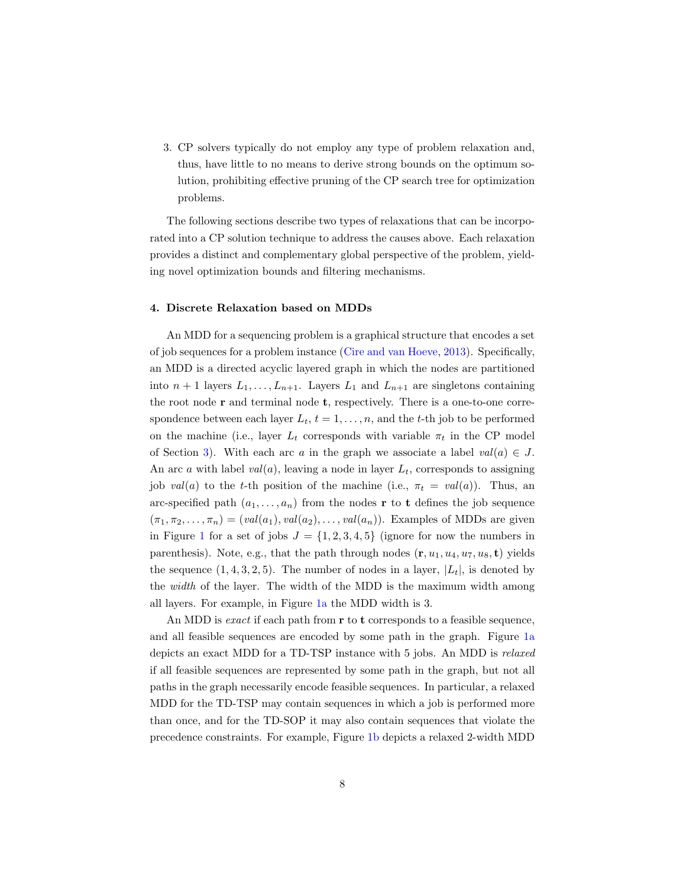3. CP solvers typically do not employ any type of problem relaxation and, thus, have little to no means to derive strong bounds on the optimum solution, prohibiting effective pruning of the CP search tree for optimization problems.

The following sections describe two types of relaxations that can be incorporated into a CP solution technique to address the causes above. Each relaxation provides a distinct and complementary global perspective of the problem, yielding novel optimization bounds and filtering mechanisms.

## <span id="page-7-0"></span>4. Discrete Relaxation based on MDDs

An MDD for a sequencing problem is a graphical structure that encodes a set of job sequences for a problem instance [\(Cire and van Hoeve,](#page-29-5) [2013\)](#page-29-5). Specifically, an MDD is a directed acyclic layered graph in which the nodes are partitioned into  $n + 1$  layers  $L_1, \ldots, L_{n+1}$ . Layers  $L_1$  and  $L_{n+1}$  are singletons containing the root node  $r$  and terminal node  $t$ , respectively. There is a one-to-one correspondence between each layer  $L_t$ ,  $t = 1, \ldots, n$ , and the t-th job to be performed on the machine (i.e., layer  $L_t$  corresponds with variable  $\pi_t$  in the CP model of Section [3\)](#page-5-0). With each arc a in the graph we associate a label  $val(a) \in J$ . An arc a with label  $val(a)$ , leaving a node in layer  $L_t$ , corresponds to assigning job val(a) to the t-th position of the machine (i.e.,  $\pi_t = val(a)$ ). Thus, an arc-specified path  $(a_1, \ldots, a_n)$  from the nodes **r** to **t** defines the job sequence  $(\pi_1, \pi_2, \ldots, \pi_n) = (val(a_1), val(a_2), \ldots, val(a_n)).$  Examples of MDDs are given in Figure [1](#page-8-0) for a set of jobs  $J = \{1, 2, 3, 4, 5\}$  (ignore for now the numbers in parenthesis). Note, e.g., that the path through nodes  $(\mathbf{r}, u_1, u_4, u_7, u_8, \mathbf{t})$  yields the sequence  $(1, 4, 3, 2, 5)$ . The number of nodes in a layer,  $|L_t|$ , is denoted by the width of the layer. The width of the MDD is the maximum width among all layers. For example, in Figure [1a](#page-8-0) the MDD width is 3.

An MDD is *exact* if each path from  $\bf{r}$  to  $\bf{t}$  corresponds to a feasible sequence, and all feasible sequences are encoded by some path in the graph. Figure [1a](#page-8-0) depicts an exact MDD for a TD-TSP instance with 5 jobs. An MDD is relaxed if all feasible sequences are represented by some path in the graph, but not all paths in the graph necessarily encode feasible sequences. In particular, a relaxed MDD for the TD-TSP may contain sequences in which a job is performed more than once, and for the TD-SOP it may also contain sequences that violate the precedence constraints. For example, Figure [1b](#page-8-0) depicts a relaxed 2-width MDD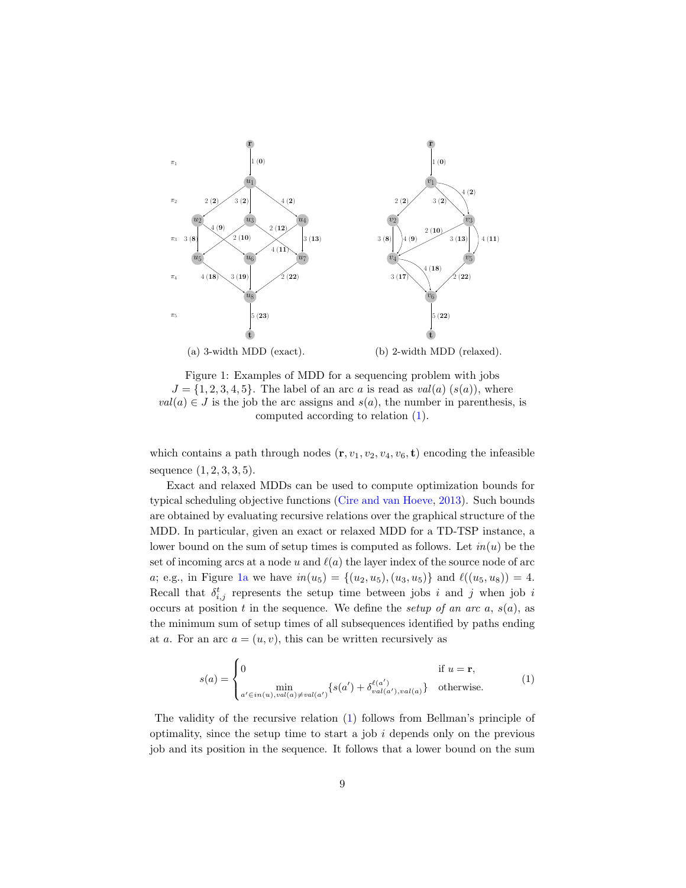<span id="page-8-0"></span>

Figure 1: Examples of MDD for a sequencing problem with jobs  $J = \{1, 2, 3, 4, 5\}$ . The label of an arc a is read as  $val(a)$   $(s(a))$ , where  $val(a) \in J$  is the job the arc assigns and  $s(a)$ , the number in parenthesis, is computed according to relation [\(1\)](#page-8-1).

which contains a path through nodes  $(\mathbf{r}, v_1, v_2, v_4, v_6, \mathbf{t})$  encoding the infeasible sequence (1, 2, 3, 3, 5).

Exact and relaxed MDDs can be used to compute optimization bounds for typical scheduling objective functions [\(Cire and van Hoeve,](#page-29-5) [2013\)](#page-29-5). Such bounds are obtained by evaluating recursive relations over the graphical structure of the MDD. In particular, given an exact or relaxed MDD for a TD-TSP instance, a lower bound on the sum of setup times is computed as follows. Let  $in(u)$  be the set of incoming arcs at a node u and  $\ell(a)$  the layer index of the source node of arc a; e.g., in Figure [1a](#page-8-0) we have  $in(u_5) = \{(u_2, u_5), (u_3, u_5)\}\$  and  $\ell((u_5, u_8)) = 4$ . Recall that  $\delta_{i,j}^t$  represents the setup time between jobs i and j when job i occurs at position t in the sequence. We define the setup of an arc  $a, s(a)$ , as the minimum sum of setup times of all subsequences identified by paths ending at a. For an arc  $a = (u, v)$ , this can be written recursively as

<span id="page-8-1"></span>
$$
s(a) = \begin{cases} 0 & \text{if } u = \mathbf{r}, \\ \min_{a' \in in(u), val(a) \neq val(a')} \{ s(a') + \delta_{val(a'), val(a)}^{\ell(a')} \} & \text{otherwise.} \end{cases}
$$
(1)

The validity of the recursive relation [\(1\)](#page-8-1) follows from Bellman's principle of optimality, since the setup time to start a job  $i$  depends only on the previous job and its position in the sequence. It follows that a lower bound on the sum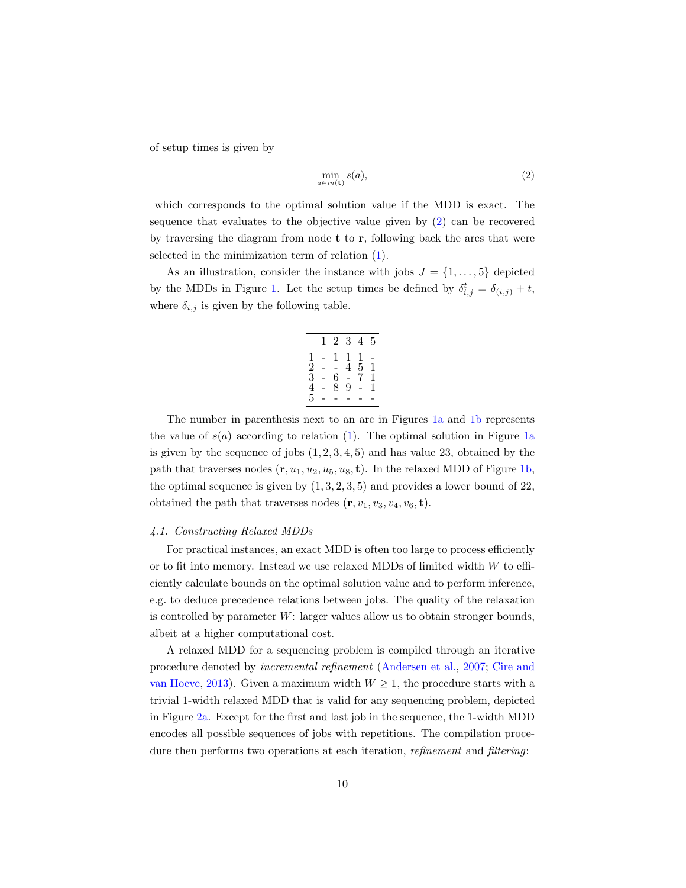of setup times is given by

<span id="page-9-0"></span>
$$
\min_{a \in in(\mathbf{t})} s(a),\tag{2}
$$

which corresponds to the optimal solution value if the MDD is exact. The sequence that evaluates to the objective value given by [\(2\)](#page-9-0) can be recovered by traversing the diagram from node  $t$  to  $r$ , following back the arcs that were selected in the minimization term of relation [\(1\)](#page-8-1).

As an illustration, consider the instance with jobs  $J = \{1, \ldots, 5\}$  depicted by the MDDs in Figure [1.](#page-8-0) Let the setup times be defined by  $\delta_{i,j}^t = \delta_{(i,j)} + t$ , where  $\delta_{i,j}$  is given by the following table.

|                | T              | $2^{\circ}$    | $\hat{3}$      | 4              | 5 |
|----------------|----------------|----------------|----------------|----------------|---|
| 1              | $\overline{a}$ | 1              | $\mathbf{1}$   | $\,1\,$        |   |
| $\frac{2}{3}$  | L              | $\overline{a}$ | 4              | $\overline{5}$ | 1 |
|                | $\overline{a}$ | 6              | $\overline{a}$ | 7              | 1 |
| $\overline{4}$ | $\overline{a}$ | 8              | 9              | L              | 1 |
| 5              |                |                |                |                |   |

The number in parenthesis next to an arc in Figures [1a](#page-8-0) and [1b](#page-8-0) represents the value of  $s(a)$  according to relation [\(1\)](#page-8-1). The optimal solution in Figure [1a](#page-8-0) is given by the sequence of jobs  $(1, 2, 3, 4, 5)$  and has value 23, obtained by the path that traverses nodes  $(\mathbf{r}, u_1, u_2, u_5, u_8, \mathbf{t})$ . In the relaxed MDD of Figure [1b,](#page-8-0) the optimal sequence is given by  $(1, 3, 2, 3, 5)$  and provides a lower bound of 22, obtained the path that traverses nodes  $(\mathbf{r}, v_1, v_3, v_4, v_6, \mathbf{t})$ .

#### <span id="page-9-1"></span>4.1. Constructing Relaxed MDDs

For practical instances, an exact MDD is often too large to process efficiently or to fit into memory. Instead we use relaxed MDDs of limited width  $W$  to efficiently calculate bounds on the optimal solution value and to perform inference, e.g. to deduce precedence relations between jobs. The quality of the relaxation is controlled by parameter W: larger values allow us to obtain stronger bounds, albeit at a higher computational cost.

A relaxed MDD for a sequencing problem is compiled through an iterative procedure denoted by incremental refinement [\(Andersen et al.,](#page-28-6) [2007;](#page-28-6) [Cire and](#page-29-5) [van Hoeve,](#page-29-5) [2013\)](#page-29-5). Given a maximum width  $W \geq 1$ , the procedure starts with a trivial 1-width relaxed MDD that is valid for any sequencing problem, depicted in Figure [2a.](#page-11-0) Except for the first and last job in the sequence, the 1-width MDD encodes all possible sequences of jobs with repetitions. The compilation procedure then performs two operations at each iteration, *refinement* and *filtering*: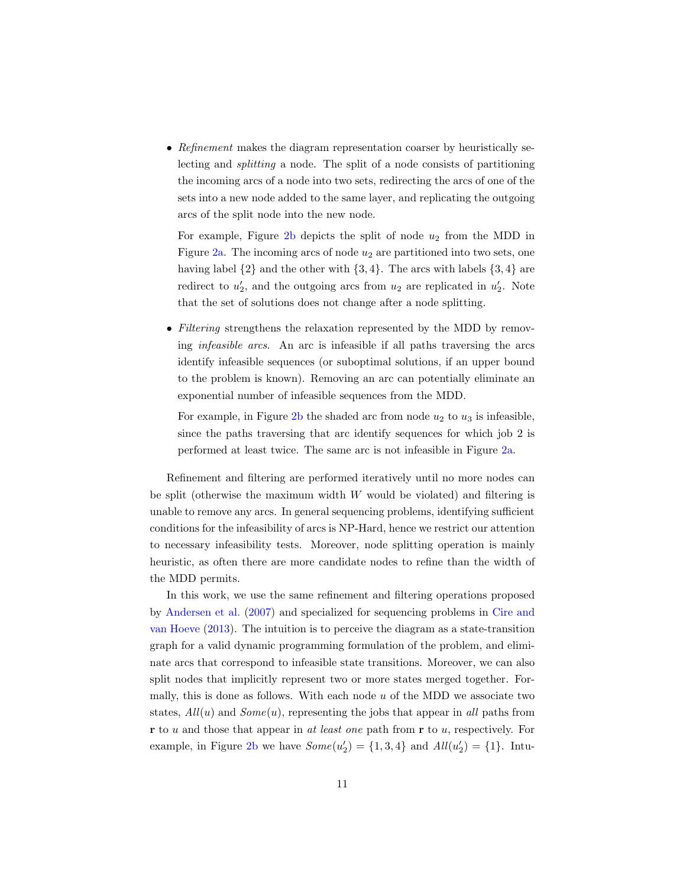• Refinement makes the diagram representation coarser by heuristically selecting and splitting a node. The split of a node consists of partitioning the incoming arcs of a node into two sets, redirecting the arcs of one of the sets into a new node added to the same layer, and replicating the outgoing arcs of the split node into the new node.

For example, Figure  $2b$  depicts the split of node  $u_2$  from the MDD in Figure  $2a$ . The incoming arcs of node  $u_2$  are partitioned into two sets, one having label  $\{2\}$  and the other with  $\{3, 4\}$ . The arcs with labels  $\{3, 4\}$  are redirect to  $u'_2$ , and the outgoing arcs from  $u_2$  are replicated in  $u'_2$ . Note that the set of solutions does not change after a node splitting.

• Filtering strengthens the relaxation represented by the MDD by removing infeasible arcs. An arc is infeasible if all paths traversing the arcs identify infeasible sequences (or suboptimal solutions, if an upper bound to the problem is known). Removing an arc can potentially eliminate an exponential number of infeasible sequences from the MDD.

For example, in Figure [2b](#page-11-0) the shaded arc from node  $u_2$  to  $u_3$  is infeasible, since the paths traversing that arc identify sequences for which job 2 is performed at least twice. The same arc is not infeasible in Figure [2a.](#page-11-0)

Refinement and filtering are performed iteratively until no more nodes can be split (otherwise the maximum width  $W$  would be violated) and filtering is unable to remove any arcs. In general sequencing problems, identifying sufficient conditions for the infeasibility of arcs is NP-Hard, hence we restrict our attention to necessary infeasibility tests. Moreover, node splitting operation is mainly heuristic, as often there are more candidate nodes to refine than the width of the MDD permits.

In this work, we use the same refinement and filtering operations proposed by [Andersen et al.](#page-28-6) [\(2007\)](#page-28-6) and specialized for sequencing problems in [Cire and](#page-29-5) [van Hoeve](#page-29-5) [\(2013\)](#page-29-5). The intuition is to perceive the diagram as a state-transition graph for a valid dynamic programming formulation of the problem, and eliminate arcs that correspond to infeasible state transitions. Moreover, we can also split nodes that implicitly represent two or more states merged together. Formally, this is done as follows. With each node  $u$  of the MDD we associate two states,  $All(u)$  and  $Some(u)$ , representing the jobs that appear in all paths from  **to u and those that appear in at least one path from**  $**r**$  **to u, respectively. For** example, in Figure [2b](#page-11-0) we have  $Some(u_2') = \{1, 3, 4\}$  and  $All(u_2') = \{1\}$ . Intu-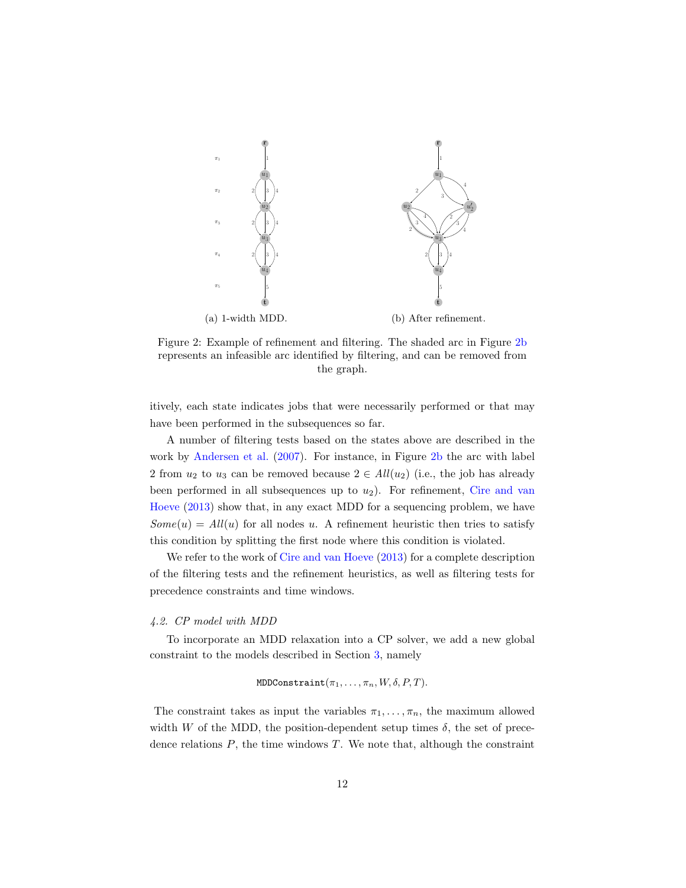<span id="page-11-0"></span>

Figure 2: Example of refinement and filtering. The shaded arc in Figure [2b](#page-11-0) represents an infeasible arc identified by filtering, and can be removed from the graph.

itively, each state indicates jobs that were necessarily performed or that may have been performed in the subsequences so far.

A number of filtering tests based on the states above are described in the work by [Andersen et al.](#page-28-6) [\(2007\)](#page-28-6). For instance, in Figure [2b](#page-11-0) the arc with label 2 from  $u_2$  to  $u_3$  can be removed because  $2 \in All(u_2)$  (i.e., the job has already been performed in all subsequences up to  $u_2$ ). For refinement, [Cire and van](#page-29-5) [Hoeve](#page-29-5) [\(2013\)](#page-29-5) show that, in any exact MDD for a sequencing problem, we have  $Some(u) = All(u)$  for all nodes u. A refinement heuristic then tries to satisfy this condition by splitting the first node where this condition is violated.

We refer to the work of [Cire and van Hoeve](#page-29-5)  $(2013)$  for a complete description of the filtering tests and the refinement heuristics, as well as filtering tests for precedence constraints and time windows.

## 4.2. CP model with MDD

To incorporate an MDD relaxation into a CP solver, we add a new global constraint to the models described in Section [3,](#page-5-0) namely

MDDConstraint
$$
(\pi_1, \ldots, \pi_n, W, \delta, P, T)
$$
.

The constraint takes as input the variables  $\pi_1, \ldots, \pi_n$ , the maximum allowed width W of the MDD, the position-dependent setup times  $\delta$ , the set of precedence relations  $P$ , the time windows  $T$ . We note that, although the constraint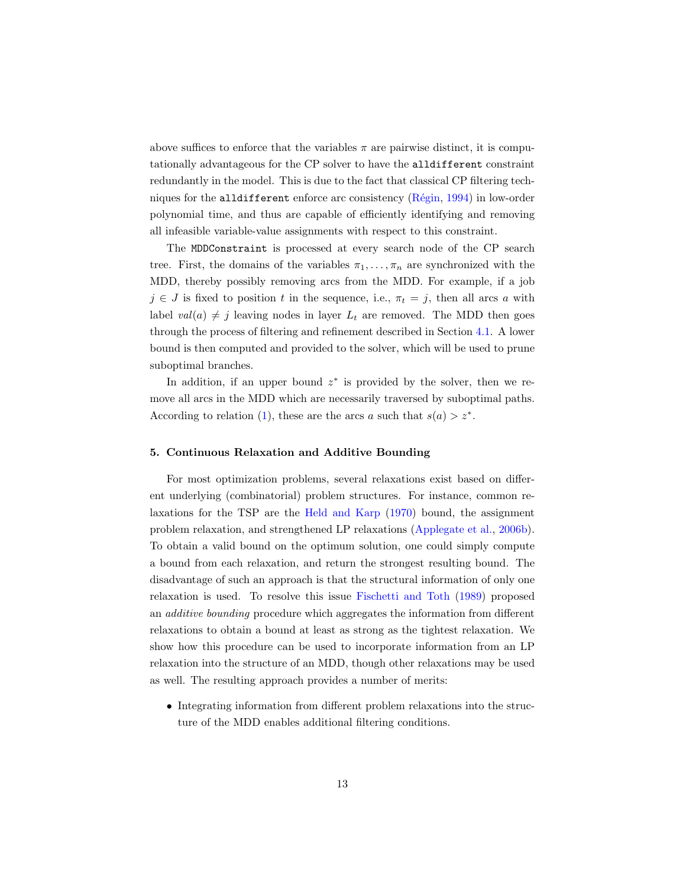above suffices to enforce that the variables  $\pi$  are pairwise distinct, it is computationally advantageous for the CP solver to have the alldifferent constraint redundantly in the model. This is due to the fact that classical CP filtering techniques for the alldifferent enforce arc consistency  $(Régin, 1994)$  $(Régin, 1994)$  in low-order polynomial time, and thus are capable of efficiently identifying and removing all infeasible variable-value assignments with respect to this constraint.

The MDDConstraint is processed at every search node of the CP search tree. First, the domains of the variables  $\pi_1, \ldots, \pi_n$  are synchronized with the MDD, thereby possibly removing arcs from the MDD. For example, if a job  $j \in J$  is fixed to position t in the sequence, i.e.,  $\pi_t = j$ , then all arcs a with label  $val(a) \neq j$  leaving nodes in layer  $L_t$  are removed. The MDD then goes through the process of filtering and refinement described in Section [4.1.](#page-9-1) A lower bound is then computed and provided to the solver, which will be used to prune suboptimal branches.

In addition, if an upper bound  $z^*$  is provided by the solver, then we remove all arcs in the MDD which are necessarily traversed by suboptimal paths. According to relation [\(1\)](#page-8-1), these are the arcs a such that  $s(a) > z^*$ .

### <span id="page-12-0"></span>5. Continuous Relaxation and Additive Bounding

For most optimization problems, several relaxations exist based on different underlying (combinatorial) problem structures. For instance, common relaxations for the TSP are the [Held and Karp](#page-30-7) [\(1970\)](#page-30-7) bound, the assignment problem relaxation, and strengthened LP relaxations [\(Applegate et al.,](#page-28-9) [2006b\)](#page-28-9). To obtain a valid bound on the optimum solution, one could simply compute a bound from each relaxation, and return the strongest resulting bound. The disadvantage of such an approach is that the structural information of only one relaxation is used. To resolve this issue [Fischetti and Toth](#page-29-6) [\(1989\)](#page-29-6) proposed an additive bounding procedure which aggregates the information from different relaxations to obtain a bound at least as strong as the tightest relaxation. We show how this procedure can be used to incorporate information from an LP relaxation into the structure of an MDD, though other relaxations may be used as well. The resulting approach provides a number of merits:

• Integrating information from different problem relaxations into the structure of the MDD enables additional filtering conditions.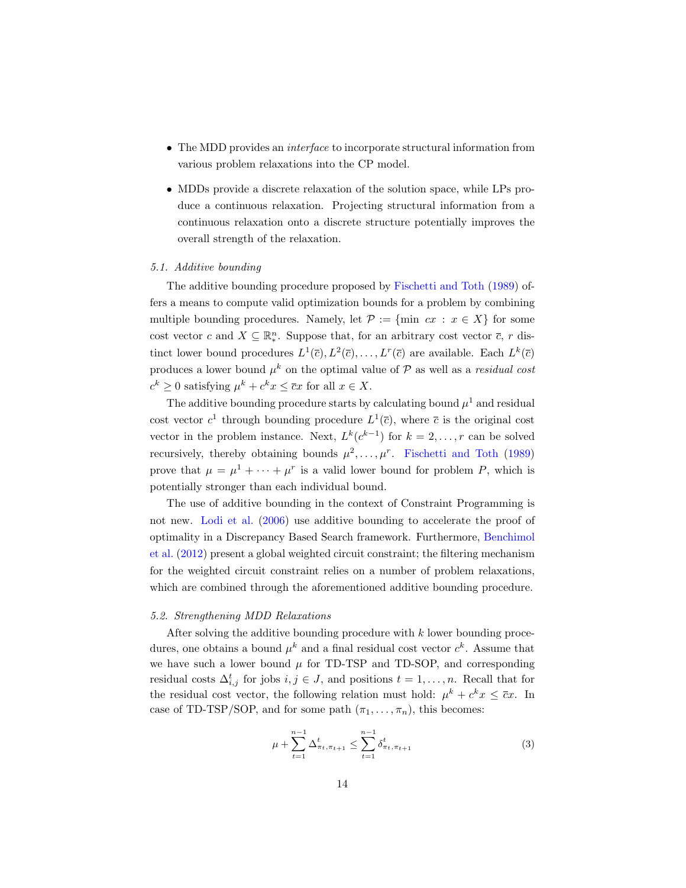- The MDD provides an *interface* to incorporate structural information from various problem relaxations into the CP model.
- MDDs provide a discrete relaxation of the solution space, while LPs produce a continuous relaxation. Projecting structural information from a continuous relaxation onto a discrete structure potentially improves the overall strength of the relaxation.

#### 5.1. Additive bounding

The additive bounding procedure proposed by [Fischetti and Toth](#page-29-6) [\(1989\)](#page-29-6) offers a means to compute valid optimization bounds for a problem by combining multiple bounding procedures. Namely, let  $\mathcal{P} := \{\min \ cx : x \in X\}$  for some cost vector c and  $X \subseteq \mathbb{R}^n_*$ . Suppose that, for an arbitrary cost vector  $\overline{c}$ , r distinct lower bound procedures  $L^1(\overline{c}), L^2(\overline{c}), \ldots, L^r(\overline{c})$  are available. Each  $L^k(\overline{c})$ produces a lower bound  $\mu^k$  on the optimal value of P as well as a residual cost  $c^k \geq 0$  satisfying  $\mu^k + c^k x \leq \overline{c}x$  for all  $x \in X$ .

The additive bounding procedure starts by calculating bound  $\mu^1$  and residual cost vector  $c^1$  through bounding procedure  $L^1(\overline{c})$ , where  $\overline{c}$  is the original cost vector in the problem instance. Next,  $L^k(c^{k-1})$  for  $k = 2, ..., r$  can be solved recursively, thereby obtaining bounds  $\mu^2, \ldots, \mu^r$ . [Fischetti and Toth](#page-29-6) [\(1989\)](#page-29-6) prove that  $\mu = \mu^1 + \cdots + \mu^r$  is a valid lower bound for problem P, which is potentially stronger than each individual bound.

The use of additive bounding in the context of Constraint Programming is not new. [Lodi et al.](#page-30-9) [\(2006\)](#page-30-9) use additive bounding to accelerate the proof of optimality in a Discrepancy Based Search framework. Furthermore, [Benchimol](#page-28-10) [et al.](#page-28-10) [\(2012\)](#page-28-10) present a global weighted circuit constraint; the filtering mechanism for the weighted circuit constraint relies on a number of problem relaxations, which are combined through the aforementioned additive bounding procedure.

## 5.2. Strengthening MDD Relaxations

After solving the additive bounding procedure with k lower bounding procedures, one obtains a bound  $\mu^k$  and a final residual cost vector  $c^k$ . Assume that we have such a lower bound  $\mu$  for TD-TSP and TD-SOP, and corresponding residual costs  $\Delta_{i,j}^t$  for jobs  $i, j \in J$ , and positions  $t = 1, \ldots, n$ . Recall that for the residual cost vector, the following relation must hold:  $\mu^k + c^k x \leq \overline{c}x$ . In case of TD-TSP/SOP, and for some path  $(\pi_1, \ldots, \pi_n)$ , this becomes:

<span id="page-13-0"></span>
$$
\mu + \sum_{t=1}^{n-1} \Delta_{\pi_t, \pi_{t+1}}^t \le \sum_{t=1}^{n-1} \delta_{\pi_t, \pi_{t+1}}^t \tag{3}
$$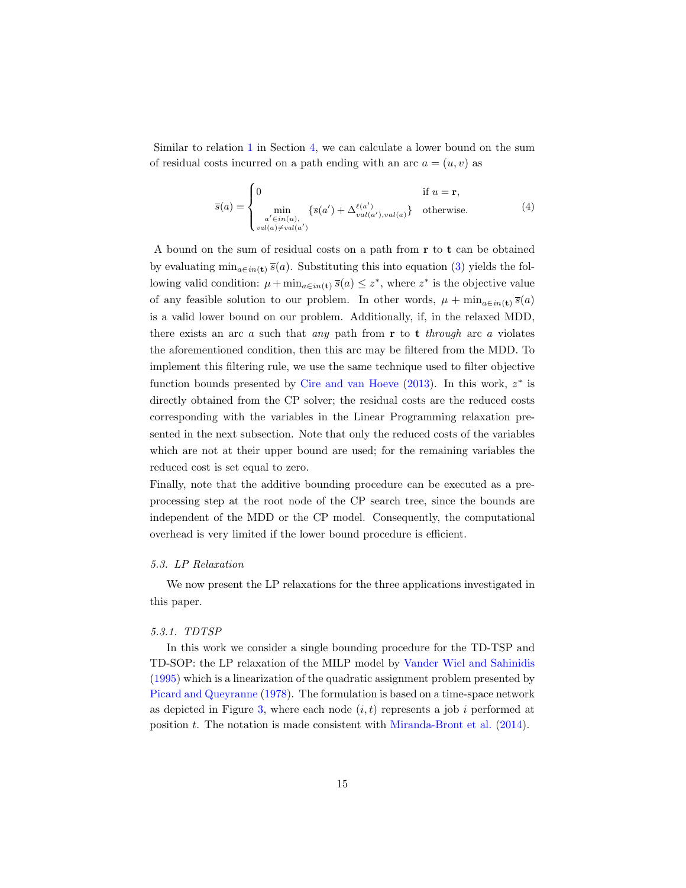Similar to relation [1](#page-8-1) in Section [4,](#page-7-0) we can calculate a lower bound on the sum of residual costs incurred on a path ending with an arc  $a = (u, v)$  as

<span id="page-14-0"></span>
$$
\overline{s}(a) = \begin{cases}\n0 & \text{if } u = \mathbf{r}, \\
\min_{\substack{a' \in in(u), \\ val(a) \neq val(a')}} \{\overline{s}(a') + \Delta_{val(a'),val(a)}^{\ell(a')}\} & \text{otherwise.} \n\end{cases} \tag{4}
$$

A bound on the sum of residual costs on a path from r to t can be obtained by evaluating  $\min_{a \in in(\mathbf{t})} \bar{s}(a)$ . Substituting this into equation [\(3\)](#page-13-0) yields the following valid condition:  $\mu + \min_{a \in in(\mathbf{t})} \bar{s}(a) \leq z^*$ , where  $z^*$  is the objective value of any feasible solution to our problem. In other words,  $\mu + \min_{a \in in(\mathbf{t})} \bar{s}(a)$ is a valid lower bound on our problem. Additionally, if, in the relaxed MDD, there exists an arc  $\alpha$  such that any path from  $\bf{r}$  to  $\bf{t}$  through arc  $\alpha$  violates the aforementioned condition, then this arc may be filtered from the MDD. To implement this filtering rule, we use the same technique used to filter objective function bounds presented by [Cire and van Hoeve](#page-29-5)  $(2013)$ . In this work,  $z^*$  is directly obtained from the CP solver; the residual costs are the reduced costs corresponding with the variables in the Linear Programming relaxation presented in the next subsection. Note that only the reduced costs of the variables which are not at their upper bound are used; for the remaining variables the reduced cost is set equal to zero.

Finally, note that the additive bounding procedure can be executed as a preprocessing step at the root node of the CP search tree, since the bounds are independent of the MDD or the CP model. Consequently, the computational overhead is very limited if the lower bound procedure is efficient.

#### 5.3. LP Relaxation

We now present the LP relaxations for the three applications investigated in this paper.

## <span id="page-14-1"></span>5.3.1. TDTSP

In this work we consider a single bounding procedure for the TD-TSP and TD-SOP: the LP relaxation of the MILP model by [Vander Wiel and Sahinidis](#page-31-11) [\(1995\)](#page-31-11) which is a linearization of the quadratic assignment problem presented by [Picard and Queyranne](#page-31-8) [\(1978\)](#page-31-8). The formulation is based on a time-space network as depicted in Figure [3,](#page-15-0) where each node  $(i, t)$  represents a job i performed at position t. The notation is made consistent with [Miranda-Bront et al.](#page-30-10)  $(2014)$ .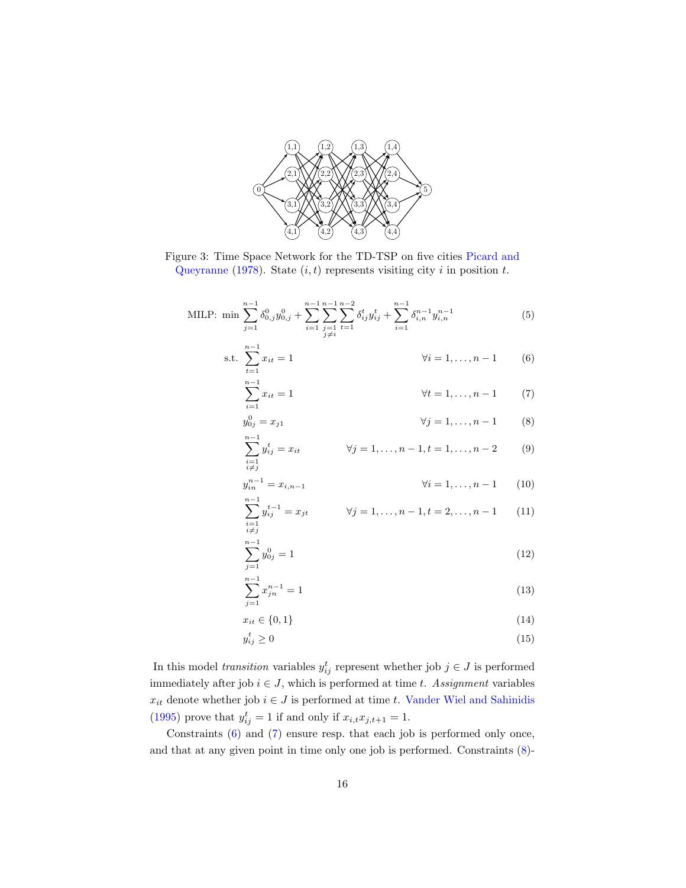<span id="page-15-0"></span>

Figure 3: Time Space Network for the TD-TSP on five cities [Picard and](#page-31-8) [Queyranne](#page-31-8) [\(1978\)](#page-31-8). State  $(i, t)$  represents visiting city i in position t.

MILP: min 
$$
\sum_{j=1}^{n-1} \delta_{0,j}^0 y_{0,j}^0 + \sum_{i=1}^{n-1} \sum_{\substack{j=1 \ j \neq i}}^{n-1} \sum_{t=1}^{n-2} \delta_{ij}^t y_{ij}^t + \sum_{i=1}^{n-1} \delta_{i,n}^{n-1} y_{i,n}^{n-1}
$$
 (5)

s.t. 
$$
\sum_{t=1}^{n-1} x_{it} = 1
$$
  $\forall i = 1,..., n-1$  (6)

<span id="page-15-1"></span>
$$
\sum_{i=1}^{n-1} x_{it} = 1 \qquad \qquad \forall t = 1, \dots, n-1 \qquad (7)
$$

<span id="page-15-2"></span>
$$
y_{0j}^0 = x_{j1} \qquad \forall j = 1, ..., n-1 \qquad (8)
$$

<span id="page-15-3"></span>
$$
\sum_{\substack{i=1 \ i \neq j}}^{n-1} y_{ij}^t = x_{it} \qquad \forall j = 1, ..., n-1, t = 1, ..., n-2 \qquad (9)
$$

$$
y_{in}^{n-1} = x_{i,n-1} \t\t \forall i = 1,...,n-1 \t (10)
$$

<span id="page-15-5"></span><span id="page-15-4"></span>
$$
\sum_{\substack{i=1 \ i \neq j}}^{n-1} y_{ij}^{t-1} = x_{jt} \qquad \forall j = 1, \dots, n-1, t = 2, \dots, n-1 \qquad (11)
$$

$$
\sum_{j=1}^{n-1} y_{0j}^0 = 1\tag{12}
$$

<span id="page-15-6"></span>
$$
\sum_{j=1}^{n-1} x_{jn}^{n-1} = 1\tag{13}
$$

$$
x_{it} \in \{0, 1\} \tag{14}
$$

$$
y_{ij}^t \ge 0 \tag{15}
$$

In this model *transition* variables  $y_{ij}^t$  represent whether job  $j \in J$  is performed immediately after job  $i \in J$ , which is performed at time t. Assignment variables  $x_{it}$  denote whether job  $i \in J$  is performed at time  $t.$  [Vander Wiel and Sahinidis](#page-31-11) [\(1995\)](#page-31-11) prove that  $y_{ij}^t = 1$  if and only if  $x_{i,t} x_{j,t+1} = 1$ .

Constraints [\(6\)](#page-15-1) and [\(7\)](#page-15-2) ensure resp. that each job is performed only once, and that at any given point in time only one job is performed. Constraints [\(8\)](#page-15-3)-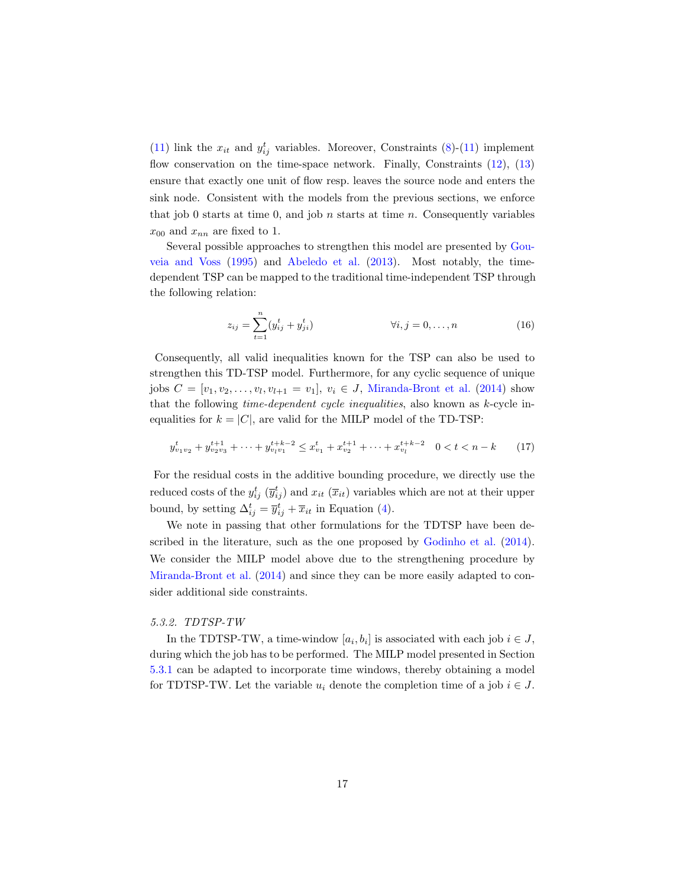[\(11\)](#page-15-4) link the  $x_{it}$  and  $y_{ij}^t$  variables. Moreover, Constraints [\(8\)](#page-15-3)-(11) implement flow conservation on the time-space network. Finally, Constraints  $(12)$ ,  $(13)$ ensure that exactly one unit of flow resp. leaves the source node and enters the sink node. Consistent with the models from the previous sections, we enforce that job 0 starts at time 0, and job  $n$  starts at time  $n$ . Consequently variables  $x_{00}$  and  $x_{nn}$  are fixed to 1.

Several possible approaches to strengthen this model are presented by [Gou](#page-29-7)[veia and Voss](#page-29-7) [\(1995\)](#page-29-7) and [Abeledo et al.](#page-28-4) [\(2013\)](#page-28-4). Most notably, the timedependent TSP can be mapped to the traditional time-independent TSP through the following relation:

<span id="page-16-0"></span>
$$
z_{ij} = \sum_{t=1}^{n} (y_{ij}^{t} + y_{ji}^{t})
$$
  $\forall i, j = 0, ..., n$  (16)

Consequently, all valid inequalities known for the TSP can also be used to strengthen this TD-TSP model. Furthermore, for any cyclic sequence of unique jobs  $C = [v_1, v_2, \dots, v_l, v_{l+1} = v_1], v_i \in J$ , [Miranda-Bront et al.](#page-30-10) [\(2014\)](#page-30-10) show that the following time-dependent cycle inequalities, also known as k-cycle inequalities for  $k = |C|$ , are valid for the MILP model of the TD-TSP:

$$
y_{v_1v_2}^t + y_{v_2v_3}^{t+1} + \dots + y_{v_lv_1}^{t+k-2} \le x_{v_1}^t + x_{v_2}^{t+1} + \dots + x_{v_l}^{t+k-2} \quad 0 < t < n-k \tag{17}
$$

For the residual costs in the additive bounding procedure, we directly use the reduced costs of the  $y_{ij}^t$   $(\overline{y}_{ij}^t)$  and  $x_{it}$   $(\overline{x}_{it})$  variables which are not at their upper bound, by setting  $\Delta_{ij}^t = \overline{y}_{ij}^t + \overline{x}_{it}$  in Equation [\(4\)](#page-14-0).

We note in passing that other formulations for the TDTSP have been described in the literature, such as the one proposed by [Godinho et al.](#page-29-10) [\(2014\)](#page-29-10). We consider the MILP model above due to the strengthening procedure by [Miranda-Bront et al.](#page-30-10) [\(2014\)](#page-30-10) and since they can be more easily adapted to consider additional side constraints.

### 5.3.2. TDTSP-TW

In the TDTSP-TW, a time-window  $[a_i, b_i]$  is associated with each job  $i \in J$ , during which the job has to be performed. The MILP model presented in Section [5.3.1](#page-14-1) can be adapted to incorporate time windows, thereby obtaining a model for TDTSP-TW. Let the variable  $u_i$  denote the completion time of a job  $i \in J$ .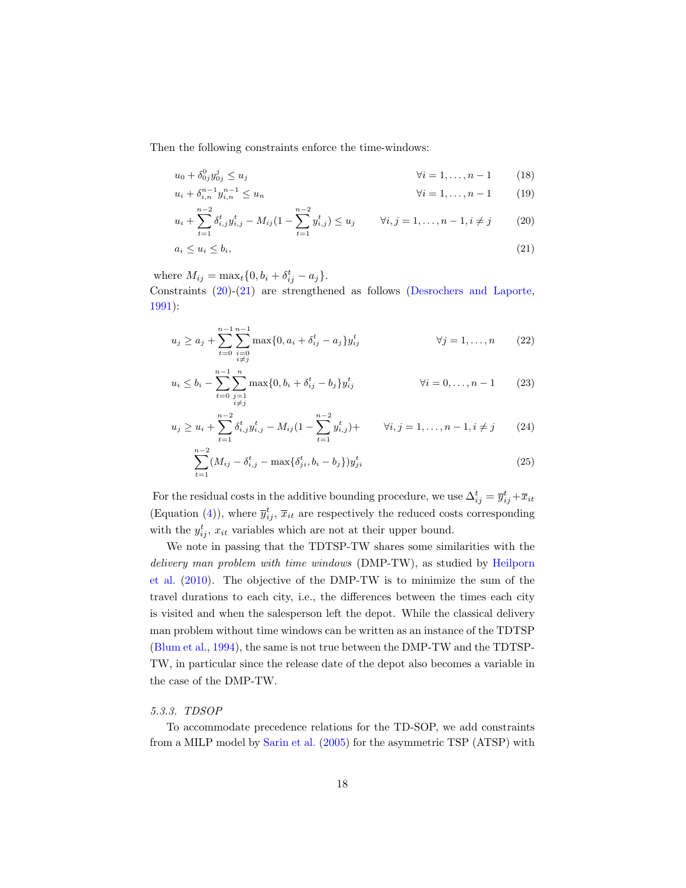Then the following constraints enforce the time-windows:

$$
u_0 + \delta_{0j}^0 y_{0j}^j \le u_j \qquad \qquad \forall i = 1, ..., n-1 \qquad (18)
$$

$$
u_i + \delta_{i,n}^{n-1} y_{i,n}^{n-1} \le u_n \qquad \forall i = 1, ..., n-1 \qquad (19)
$$

<span id="page-17-0"></span>
$$
u_i + \sum_{t=1}^{n-2} \delta_{i,j}^t y_{i,j}^t - M_{ij} (1 - \sum_{t=1}^{n-2} y_{i,j}^t) \le u_j \qquad \forall i, j = 1, \dots, n-1, i \ne j \tag{20}
$$

<span id="page-17-1"></span>
$$
a_i \le u_i \le b_i,\tag{21}
$$

where  $M_{ij} = \max_t \{0, b_i + \delta_{ij}^t - a_j\}.$ 

Constraints [\(20\)](#page-17-0)-[\(21\)](#page-17-1) are strengthened as follows [\(Desrochers and Laporte,](#page-29-11) [1991\)](#page-29-11):

$$
u_j \ge a_j + \sum_{t=0}^{n-1} \sum_{\substack{i=0 \ i \neq j}}^{n-1} \max\{0, a_i + \delta_{ij}^t - a_j\} y_{ij}^t \qquad \forall j = 1, ..., n \qquad (22)
$$

$$
u_i \le b_i - \sum_{t=0}^{n-1} \sum_{\substack{j=1 \ i \neq j}}^n \max\{0, b_i + \delta_{ij}^t - b_j\} y_{ij}^t \qquad \forall i = 0, \dots, n-1 \qquad (23)
$$

$$
u_j \ge u_i + \sum_{t=1}^{n-2} \delta_{i,j}^t y_{i,j}^t - M_{ij} (1 - \sum_{t=1}^{n-2} y_{i,j}^t) + \qquad \forall i, j = 1, ..., n-1, i \ne j \tag{24}
$$

$$
\sum_{t=1}^{n-2} (M_{ij} - \delta_{i,j}^t - \max\{\delta_{ji}^t, b_i - b_j\}) y_{ji}^t
$$
 (25)

For the residual costs in the additive bounding procedure, we use  $\Delta_{ij}^t = \overline{y}_{ij}^t + \overline{x}_{it}$ (Equation [\(4\)](#page-14-0)), where  $\bar{y}_{ij}^t$ ,  $\bar{x}_{it}$  are respectively the reduced costs corresponding with the  $y_{ij}^t$ ,  $x_{it}$  variables which are not at their upper bound.

We note in passing that the TDTSP-TW shares some similarities with the delivery man problem with time windows (DMP-TW), as studied by [Heilporn](#page-30-11) [et al.](#page-30-11) [\(2010\)](#page-30-11). The objective of the DMP-TW is to minimize the sum of the travel durations to each city, i.e., the differences between the times each city is visited and when the salesperson left the depot. While the classical delivery man problem without time windows can be written as an instance of the TDTSP [\(Blum et al.,](#page-28-2) [1994\)](#page-28-2), the same is not true between the DMP-TW and the TDTSP-TW, in particular since the release date of the depot also becomes a variable in the case of the DMP-TW.

# 5.3.3. TDSOP

To accommodate precedence relations for the TD-SOP, we add constraints from a MILP model by [Sarin et al.](#page-31-12) [\(2005\)](#page-31-12) for the asymmetric TSP (ATSP) with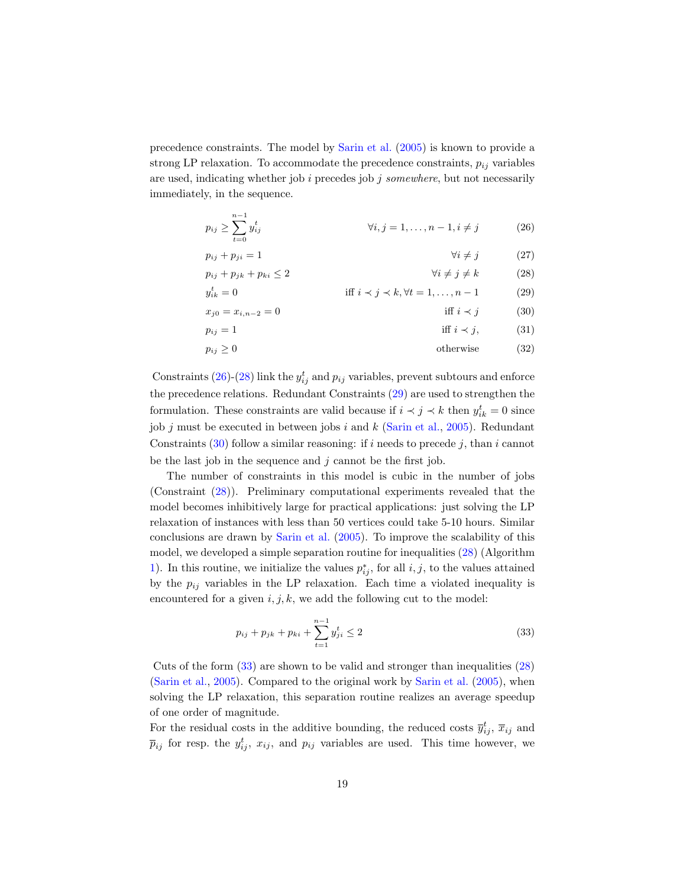precedence constraints. The model by [Sarin et al.](#page-31-12) [\(2005\)](#page-31-12) is known to provide a strong LP relaxation. To accommodate the precedence constraints,  $p_{ij}$  variables are used, indicating whether job  $i$  precedes job  $j$  somewhere, but not necessarily immediately, in the sequence.

 $p_{ij} + p_{ji} = 1$ 

$$
p_{ij} \ge \sum_{t=0}^{n-1} y_{ij}^t \qquad \forall i, j = 1, ..., n-1, i \ne j \qquad (26)
$$

<span id="page-18-3"></span><span id="page-18-2"></span><span id="page-18-1"></span><span id="page-18-0"></span>
$$
\forall i \neq j \tag{27}
$$

$$
p_{ij} + p_{jk} + p_{ki} \le 2 \qquad \qquad \forall i \ne j \ne k \qquad (28)
$$

$$
y_{ik}^t = 0
$$
 iff  $i \prec j \prec k, \forall t = 1, ..., n - 1$  (29)

$$
x_{j0} = x_{i,n-2} = 0
$$
 iff  $i \prec j$  (30)

pij = 1 iff i ≺ j, (31)

$$
p_{ij} \ge 0 \tag{32}
$$

Constraints [\(26\)](#page-18-0)-[\(28\)](#page-18-1) link the  $y_{ij}^t$  and  $p_{ij}$  variables, prevent subtours and enforce the precedence relations. Redundant Constraints [\(29\)](#page-18-2) are used to strengthen the formulation. These constraints are valid because if  $i \prec j \prec k$  then  $y_{ik}^t = 0$  since job j must be executed in between jobs i and  $k$  [\(Sarin et al.,](#page-31-12) [2005\)](#page-31-12). Redundant Constraints  $(30)$  follow a similar reasoning: if i needs to precede j, than i cannot be the last job in the sequence and  $j$  cannot be the first job.

The number of constraints in this model is cubic in the number of jobs (Constraint [\(28\)](#page-18-1)). Preliminary computational experiments revealed that the model becomes inhibitively large for practical applications: just solving the LP relaxation of instances with less than 50 vertices could take 5-10 hours. Similar conclusions are drawn by [Sarin et al.](#page-31-12) [\(2005\)](#page-31-12). To improve the scalability of this model, we developed a simple separation routine for inequalities [\(28\)](#page-18-1) (Algorithm [1\)](#page-19-1). In this routine, we initialize the values  $p_{ij}^*$ , for all  $i, j$ , to the values attained by the  $p_{ij}$  variables in the LP relaxation. Each time a violated inequality is encountered for a given  $i, j, k$ , we add the following cut to the model:

<span id="page-18-4"></span>
$$
p_{ij} + p_{jk} + p_{ki} + \sum_{t=1}^{n-1} y_{ji}^t \le 2
$$
\n(33)

Cuts of the form  $(33)$  are shown to be valid and stronger than inequalities  $(28)$ [\(Sarin et al.,](#page-31-12) [2005\)](#page-31-12). Compared to the original work by [Sarin et al.](#page-31-12) [\(2005\)](#page-31-12), when solving the LP relaxation, this separation routine realizes an average speedup of one order of magnitude.

For the residual costs in the additive bounding, the reduced costs  $\overline{y}_{ij}^t$ ,  $\overline{x}_{ij}$  and  $\bar{p}_{ij}$  for resp. the  $y_{ij}^t$ ,  $x_{ij}$ , and  $p_{ij}$  variables are used. This time however, we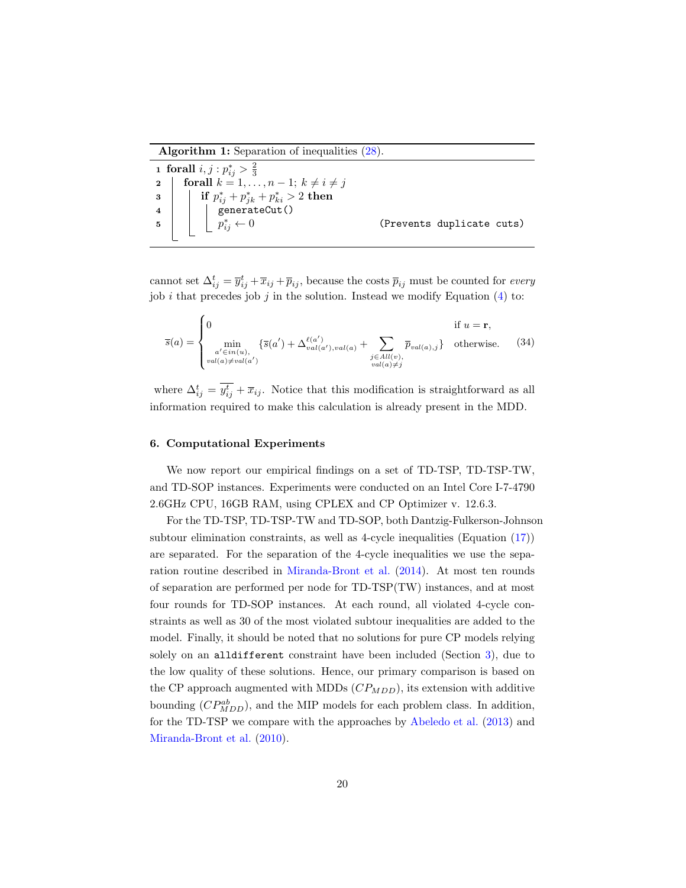Algorithm 1: Separation of inequalities [\(28\)](#page-18-1).

|          | <b>1</b> forall $i, j : p_{ij}^* > \frac{2}{3}$                                                                                                                      |                           |
|----------|----------------------------------------------------------------------------------------------------------------------------------------------------------------------|---------------------------|
|          | 2   forall $k = 1, \ldots, n-1; k \neq i \neq j$                                                                                                                     |                           |
| $3 \mid$ | $\begin{array}{c c} \hline \text{ \quad \quad if } p_{ij}^* + p_{jk}^* + p_{ki}^* > 2 \text{ then } \ \hline \text{ \quad \quad} & \text{generateCut()} \end{array}$ |                           |
|          |                                                                                                                                                                      |                           |
| $5 \mid$ | $p_{ij}^* \leftarrow 0$                                                                                                                                              | (Prevents duplicate cuts) |
|          |                                                                                                                                                                      |                           |

<span id="page-19-1"></span>cannot set  $\Delta_{ij}^t = \overline{y}_{ij}^t + \overline{x}_{ij} + \overline{p}_{ij}$ , because the costs  $\overline{p}_{ij}$  must be counted for *every* job i that precedes job j in the solution. Instead we modify Equation  $(4)$  to:

$$
\overline{s}(a) = \begin{cases}\n0 & \text{if } u = \mathbf{r}, \\
\min_{\substack{a' \in in(u), \\ \text{val}(a) \neq \text{val}(a')}} \{\overline{s}(a') + \Delta_{\text{val}(a')}^{\ell(a')}),_{\text{val}(a)} + \sum_{\substack{j \in All(v), \\ \text{val}(a) \neq j}} \overline{p}_{\text{val}(a),j}\} & \text{otherwise.} \end{cases}
$$
(34)

where  $\Delta_{ij}^t = \overline{y_{ij}^t} + \overline{x}_{ij}$ . Notice that this modification is straightforward as all information required to make this calculation is already present in the MDD.

## <span id="page-19-0"></span>6. Computational Experiments

We now report our empirical findings on a set of TD-TSP, TD-TSP-TW, and TD-SOP instances. Experiments were conducted on an Intel Core I-7-4790 2.6GHz CPU, 16GB RAM, using CPLEX and CP Optimizer v. 12.6.3.

For the TD-TSP, TD-TSP-TW and TD-SOP, both Dantzig-Fulkerson-Johnson subtour elimination constraints, as well as 4-cycle inequalities (Equation [\(17\)](#page-16-0)) are separated. For the separation of the 4-cycle inequalities we use the separation routine described in [Miranda-Bront et al.](#page-30-10) [\(2014\)](#page-30-10). At most ten rounds of separation are performed per node for TD-TSP(TW) instances, and at most four rounds for TD-SOP instances. At each round, all violated 4-cycle constraints as well as 30 of the most violated subtour inequalities are added to the model. Finally, it should be noted that no solutions for pure CP models relying solely on an alldifferent constraint have been included (Section [3\)](#page-5-0), due to the low quality of these solutions. Hence, our primary comparison is based on the CP approach augmented with MDDs  $(CP_{MDD})$ , its extension with additive bounding  $(CP_{MDD}^{ab})$ , and the MIP models for each problem class. In addition, for the TD-TSP we compare with the approaches by [Abeledo et al.](#page-28-4) [\(2013\)](#page-28-4) and [Miranda-Bront et al.](#page-30-5) [\(2010\)](#page-30-5).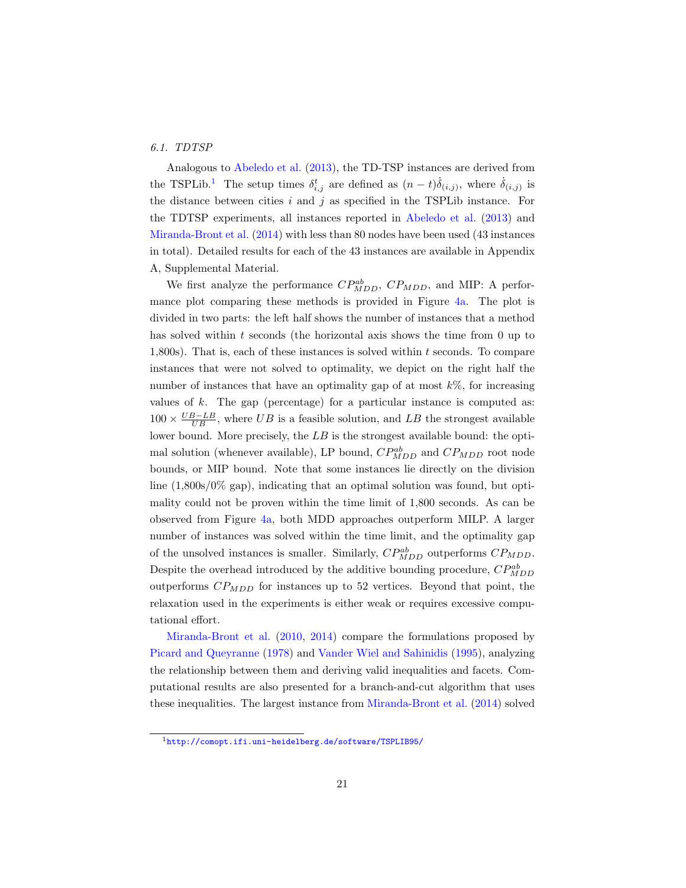## 6.1. TDTSP

Analogous to [Abeledo et al.](#page-28-4) [\(2013\)](#page-28-4), the TD-TSP instances are derived from the TSPLib.<sup>[1](#page-20-0)</sup> The setup times  $\delta_{i,j}^t$  are defined as  $(n-t)\dot{\delta}_{(i,j)}$ , where  $\dot{\delta}_{(i,j)}$  is the distance between cities  $i$  and  $j$  as specified in the TSPLib instance. For the TDTSP experiments, all instances reported in [Abeledo et al.](#page-28-4) [\(2013\)](#page-28-4) and [Miranda-Bront et al.](#page-30-10) [\(2014\)](#page-30-10) with less than 80 nodes have been used (43 instances in total). Detailed results for each of the 43 instances are available in Appendix A, Supplemental Material.

We first analyze the performance  $CP_{MDD}^{ab}$ ,  $CP_{MDD}$ , and MIP: A performance plot comparing these methods is provided in Figure [4a.](#page-21-0) The plot is divided in two parts: the left half shows the number of instances that a method has solved within  $t$  seconds (the horizontal axis shows the time from 0 up to 1,800s). That is, each of these instances is solved within  $t$  seconds. To compare instances that were not solved to optimality, we depict on the right half the number of instances that have an optimality gap of at most  $k\%$ , for increasing values of  $k$ . The gap (percentage) for a particular instance is computed as:  $100 \times \frac{UB - LB}{UB}$ , where UB is a feasible solution, and LB the strongest available lower bound. More precisely, the LB is the strongest available bound: the optimal solution (whenever available), LP bound,  $CP_{MDD}^{ab}$  and  $CP_{MDD}$  root node bounds, or MIP bound. Note that some instances lie directly on the division line (1,800s/0% gap), indicating that an optimal solution was found, but optimality could not be proven within the time limit of 1,800 seconds. As can be observed from Figure [4a,](#page-21-0) both MDD approaches outperform MILP. A larger number of instances was solved within the time limit, and the optimality gap of the unsolved instances is smaller. Similarly,  $CP_{MDD}^{ab}$  outperforms  $CP_{MDD}$ . Despite the overhead introduced by the additive bounding procedure,  $CP_{MDD}^{ab}$ outperforms  $CP_{MDD}$  for instances up to 52 vertices. Beyond that point, the relaxation used in the experiments is either weak or requires excessive computational effort.

[Miranda-Bront et al.](#page-30-5) [\(2010,](#page-30-5) [2014\)](#page-30-10) compare the formulations proposed by [Picard and Queyranne](#page-31-8) [\(1978\)](#page-31-8) and [Vander Wiel and Sahinidis](#page-31-11) [\(1995\)](#page-31-11), analyzing the relationship between them and deriving valid inequalities and facets. Computational results are also presented for a branch-and-cut algorithm that uses these inequalities. The largest instance from [Miranda-Bront et al.](#page-30-10) [\(2014\)](#page-30-10) solved

<span id="page-20-0"></span><sup>1</sup><http://comopt.ifi.uni-heidelberg.de/software/TSPLIB95/>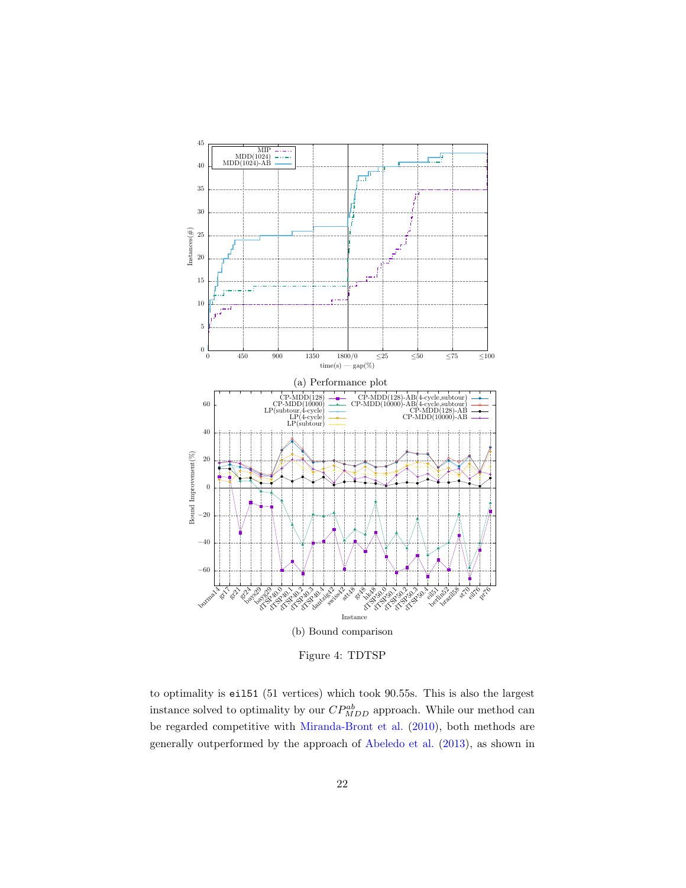<span id="page-21-0"></span>

Figure 4: TDTSP

to optimality is eil51 (51 vertices) which took 90.55s. This is also the largest instance solved to optimality by our  $CP_{MDD}^{ab}$  approach. While our method can be regarded competitive with [Miranda-Bront et al.](#page-30-5) [\(2010\)](#page-30-5), both methods are generally outperformed by the approach of [Abeledo et al.](#page-28-4) [\(2013\)](#page-28-4), as shown in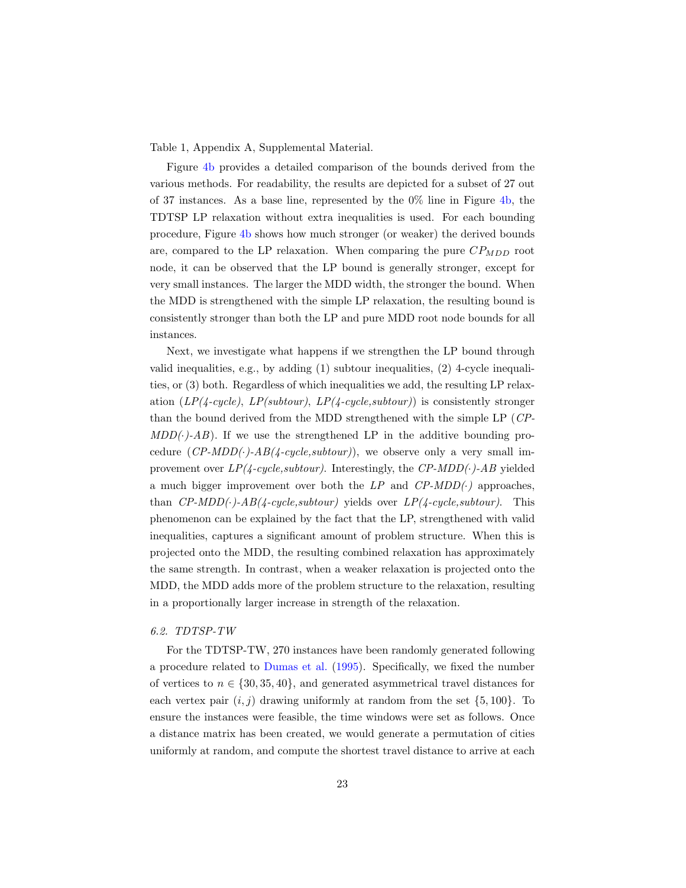Table 1, Appendix A, Supplemental Material.

Figure [4b](#page-21-0) provides a detailed comparison of the bounds derived from the various methods. For readability, the results are depicted for a subset of 27 out of 37 instances. As a base line, represented by the  $0\%$  line in Figure [4b,](#page-21-0) the TDTSP LP relaxation without extra inequalities is used. For each bounding procedure, Figure [4b](#page-21-0) shows how much stronger (or weaker) the derived bounds are, compared to the LP relaxation. When comparing the pure  $CP_{MDD}$  root node, it can be observed that the LP bound is generally stronger, except for very small instances. The larger the MDD width, the stronger the bound. When the MDD is strengthened with the simple LP relaxation, the resulting bound is consistently stronger than both the LP and pure MDD root node bounds for all instances.

Next, we investigate what happens if we strengthen the LP bound through valid inequalities, e.g., by adding (1) subtour inequalities, (2) 4-cycle inequalities, or (3) both. Regardless of which inequalities we add, the resulting LP relaxation  $(LP(\text{4-cycle}), LP(subtour), LP(\text{4-cycle}, subtour))$  is consistently stronger than the bound derived from the MDD strengthened with the simple LP (CP- $MDD(\cdot)$ -AB). If we use the strengthened LP in the additive bounding procedure  $(CP\text{-}MDD(\cdot)\text{-}AB(4\text{-}cycle, subtour))$ , we observe only a very small improvement over  $LP(4-cycle, subtour)$ . Interestingly, the  $CP\text{-}MDD(\cdot)\text{-}AB$  yielded a much bigger improvement over both the  $LP$  and  $CP\text{-}MDD(\cdot)$  approaches, than  $CP-MDD(\cdot)$ - $AB(4-cycle, subtour)$  yields over  $LP(4-cycle, subtour)$ . This phenomenon can be explained by the fact that the LP, strengthened with valid inequalities, captures a significant amount of problem structure. When this is projected onto the MDD, the resulting combined relaxation has approximately the same strength. In contrast, when a weaker relaxation is projected onto the MDD, the MDD adds more of the problem structure to the relaxation, resulting in a proportionally larger increase in strength of the relaxation.

# 6.2. TDTSP-TW

For the TDTSP-TW, 270 instances have been randomly generated following a procedure related to [Dumas et al.](#page-29-12) [\(1995\)](#page-29-12). Specifically, we fixed the number of vertices to  $n \in \{30, 35, 40\}$ , and generated asymmetrical travel distances for each vertex pair  $(i, j)$  drawing uniformly at random from the set  $\{5, 100\}$ . To ensure the instances were feasible, the time windows were set as follows. Once a distance matrix has been created, we would generate a permutation of cities uniformly at random, and compute the shortest travel distance to arrive at each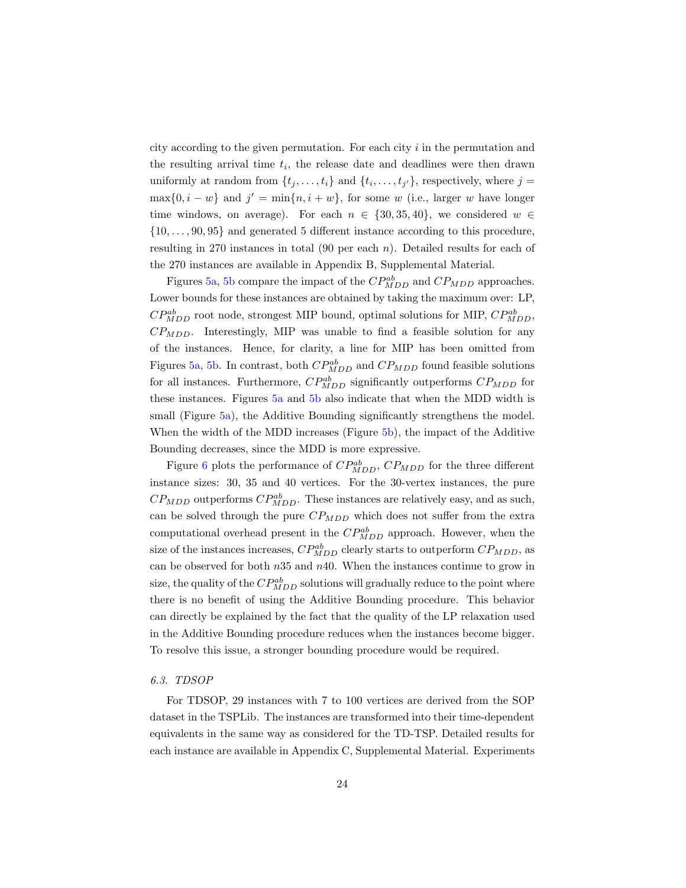city according to the given permutation. For each city i in the permutation and the resulting arrival time  $t_i$ , the release date and deadlines were then drawn uniformly at random from  $\{t_j, \ldots, t_i\}$  and  $\{t_i, \ldots, t_{j'}\}$ , respectively, where  $j =$  $\max\{0, i - w\}$  and  $j' = \min\{n, i + w\}$ , for some w (i.e., larger w have longer time windows, on average). For each  $n \in \{30, 35, 40\}$ , we considered  $w \in$  $\{10, \ldots, 90, 95\}$  and generated 5 different instance according to this procedure, resulting in 270 instances in total  $(90 \text{ per each } n)$ . Detailed results for each of the 270 instances are available in Appendix B, Supplemental Material.

Figures [5a,](#page-24-0) [5b](#page-24-0) compare the impact of the  $CP_{MDD}^{ab}$  and  $CP_{MDD}$  approaches. Lower bounds for these instances are obtained by taking the maximum over: LP,  $CP_{MDD}^{ab}$  root node, strongest MIP bound, optimal solutions for MIP,  $CP_{MDD}^{ab}$ ,  $CP_{MDD}$ . Interestingly, MIP was unable to find a feasible solution for any of the instances. Hence, for clarity, a line for MIP has been omitted from Figures [5a,](#page-24-0) [5b.](#page-24-0) In contrast, both  $CP_{MDD}^{ab}$  and  $CP_{MDD}$  found feasible solutions for all instances. Furthermore,  $CP_{MDD}^{ab}$  significantly outperforms  $CP_{MDD}$  for these instances. Figures [5a](#page-24-0) and [5b](#page-24-0) also indicate that when the MDD width is small (Figure [5a\)](#page-24-0), the Additive Bounding significantly strengthens the model. When the width of the MDD increases (Figure [5b\)](#page-24-0), the impact of the Additive Bounding decreases, since the MDD is more expressive.

Figure [6](#page-25-0) plots the performance of  $CP_{MDD}^{ab}$ ,  $CP_{MDD}$  for the three different instance sizes: 30, 35 and 40 vertices. For the 30-vertex instances, the pure  $CP_{MDD}$  outperforms  $CP_{MDD}^{ab}$ . These instances are relatively easy, and as such, can be solved through the pure  $CP_{MDD}$  which does not suffer from the extra computational overhead present in the  $CP_{MDD}^{ab}$  approach. However, when the size of the instances increases,  $CP_{MDD}^{ab}$  clearly starts to outperform  $CP_{MDD}$ , as can be observed for both  $n35$  and  $n40$ . When the instances continue to grow in size, the quality of the  $CP^{ab}_{MDD}$  solutions will gradually reduce to the point where there is no benefit of using the Additive Bounding procedure. This behavior can directly be explained by the fact that the quality of the LP relaxation used in the Additive Bounding procedure reduces when the instances become bigger. To resolve this issue, a stronger bounding procedure would be required.

#### 6.3. TDSOP

For TDSOP, 29 instances with 7 to 100 vertices are derived from the SOP dataset in the TSPLib. The instances are transformed into their time-dependent equivalents in the same way as considered for the TD-TSP. Detailed results for each instance are available in Appendix C, Supplemental Material. Experiments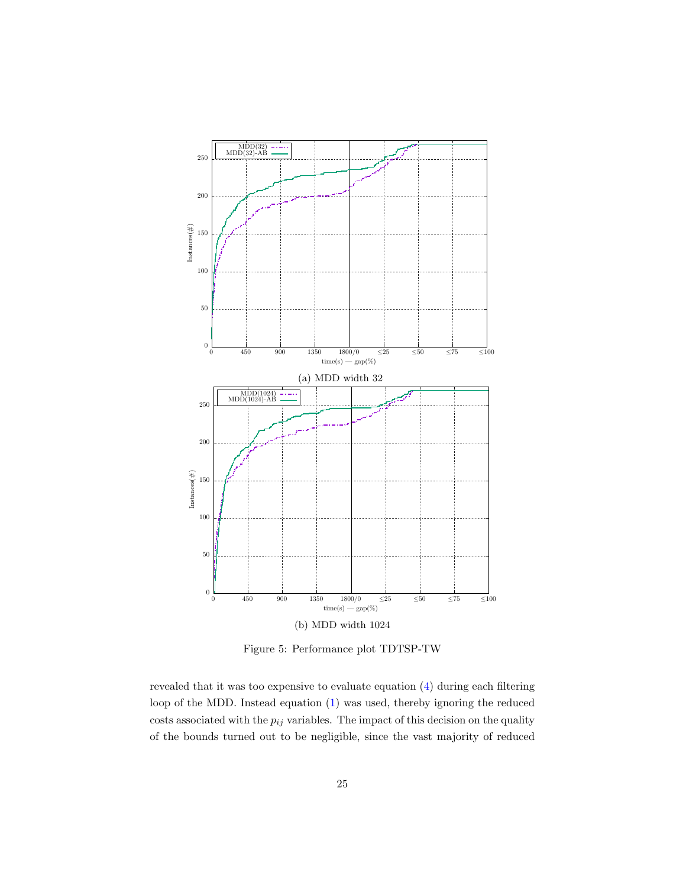<span id="page-24-0"></span>

Figure 5: Performance plot TDTSP-TW

revealed that it was too expensive to evaluate equation [\(4\)](#page-14-0) during each filtering loop of the MDD. Instead equation [\(1\)](#page-8-1) was used, thereby ignoring the reduced costs associated with the  $p_{ij}$  variables. The impact of this decision on the quality of the bounds turned out to be negligible, since the vast majority of reduced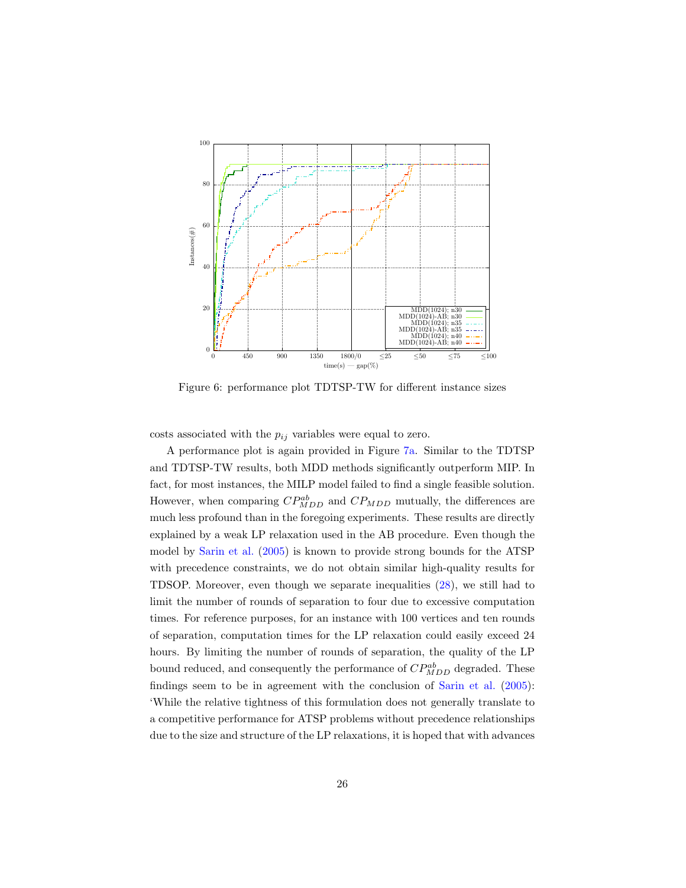<span id="page-25-0"></span>

Figure 6: performance plot TDTSP-TW for different instance sizes

costs associated with the  $p_{ij}$  variables were equal to zero.

A performance plot is again provided in Figure [7a.](#page-26-0) Similar to the TDTSP and TDTSP-TW results, both MDD methods significantly outperform MIP. In fact, for most instances, the MILP model failed to find a single feasible solution. However, when comparing  $CP_{MDD}^{ab}$  and  $CP_{MDD}$  mutually, the differences are much less profound than in the foregoing experiments. These results are directly explained by a weak LP relaxation used in the AB procedure. Even though the model by [Sarin et al.](#page-31-12) [\(2005\)](#page-31-12) is known to provide strong bounds for the ATSP with precedence constraints, we do not obtain similar high-quality results for TDSOP. Moreover, even though we separate inequalities [\(28\)](#page-18-1), we still had to limit the number of rounds of separation to four due to excessive computation times. For reference purposes, for an instance with 100 vertices and ten rounds of separation, computation times for the LP relaxation could easily exceed 24 hours. By limiting the number of rounds of separation, the quality of the LP bound reduced, and consequently the performance of  $CP^{ab}_{MDD}$  degraded. These findings seem to be in agreement with the conclusion of [Sarin et al.](#page-31-12) [\(2005\)](#page-31-12): 'While the relative tightness of this formulation does not generally translate to a competitive performance for ATSP problems without precedence relationships due to the size and structure of the LP relaxations, it is hoped that with advances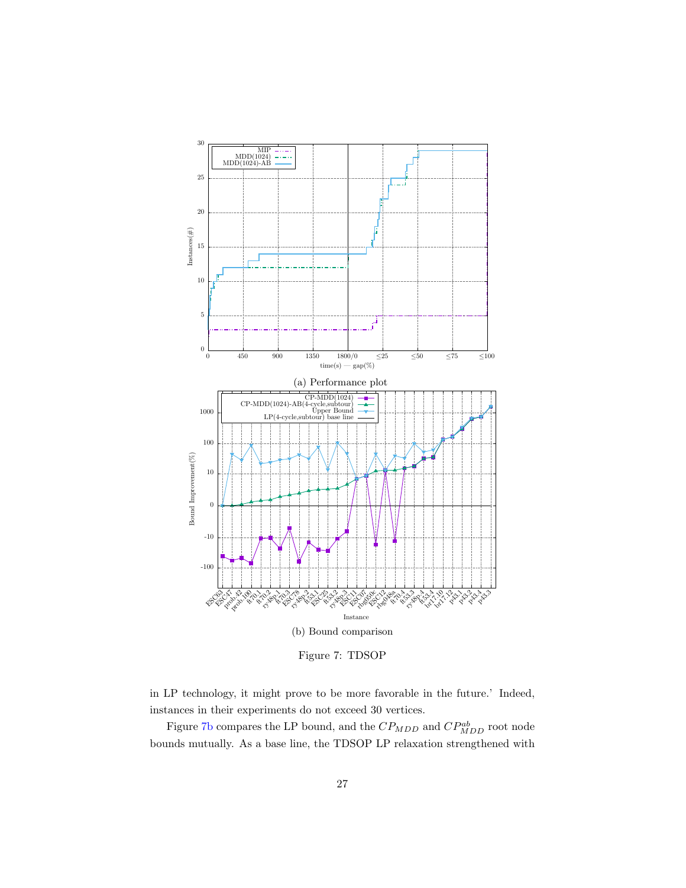<span id="page-26-0"></span>

Figure 7: TDSOP

in LP technology, it might prove to be more favorable in the future.' Indeed, instances in their experiments do not exceed 30 vertices.

Figure [7b](#page-26-0) compares the LP bound, and the  $CP_{MDD}$  and  $CP_{MDD}^{ab}$  root node bounds mutually. As a base line, the TDSOP LP relaxation strengthened with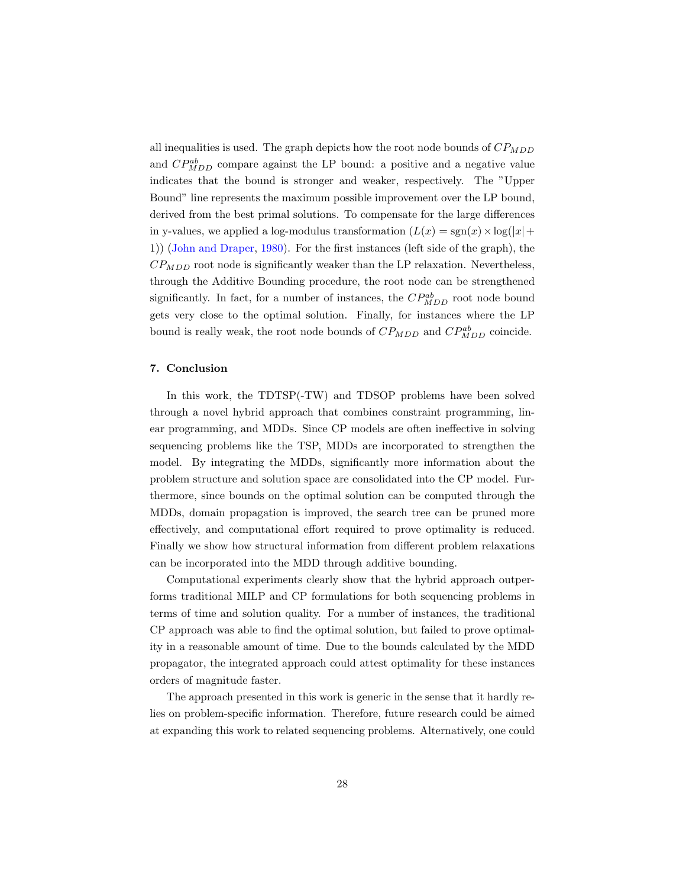all inequalities is used. The graph depicts how the root node bounds of  $CP_{MDD}$ and  $CP_{MDD}^{ab}$  compare against the LP bound: a positive and a negative value indicates that the bound is stronger and weaker, respectively. The "Upper Bound" line represents the maximum possible improvement over the LP bound, derived from the best primal solutions. To compensate for the large differences in y-values, we applied a log-modulus transformation  $(L(x) = sgn(x) \times log(|x| +$ 1)) [\(John and Draper,](#page-30-12) [1980\)](#page-30-12). For the first instances (left side of the graph), the  $CP_{MDD}$  root node is significantly weaker than the LP relaxation. Nevertheless, through the Additive Bounding procedure, the root node can be strengthened significantly. In fact, for a number of instances, the  $CP_{MDD}^{ab}$  root node bound gets very close to the optimal solution. Finally, for instances where the LP bound is really weak, the root node bounds of  $CP_{MDD}$  and  $CP_{MDD}^{ab}$  coincide.

# <span id="page-27-0"></span>7. Conclusion

In this work, the TDTSP(-TW) and TDSOP problems have been solved through a novel hybrid approach that combines constraint programming, linear programming, and MDDs. Since CP models are often ineffective in solving sequencing problems like the TSP, MDDs are incorporated to strengthen the model. By integrating the MDDs, significantly more information about the problem structure and solution space are consolidated into the CP model. Furthermore, since bounds on the optimal solution can be computed through the MDDs, domain propagation is improved, the search tree can be pruned more effectively, and computational effort required to prove optimality is reduced. Finally we show how structural information from different problem relaxations can be incorporated into the MDD through additive bounding.

Computational experiments clearly show that the hybrid approach outperforms traditional MILP and CP formulations for both sequencing problems in terms of time and solution quality. For a number of instances, the traditional CP approach was able to find the optimal solution, but failed to prove optimality in a reasonable amount of time. Due to the bounds calculated by the MDD propagator, the integrated approach could attest optimality for these instances orders of magnitude faster.

The approach presented in this work is generic in the sense that it hardly relies on problem-specific information. Therefore, future research could be aimed at expanding this work to related sequencing problems. Alternatively, one could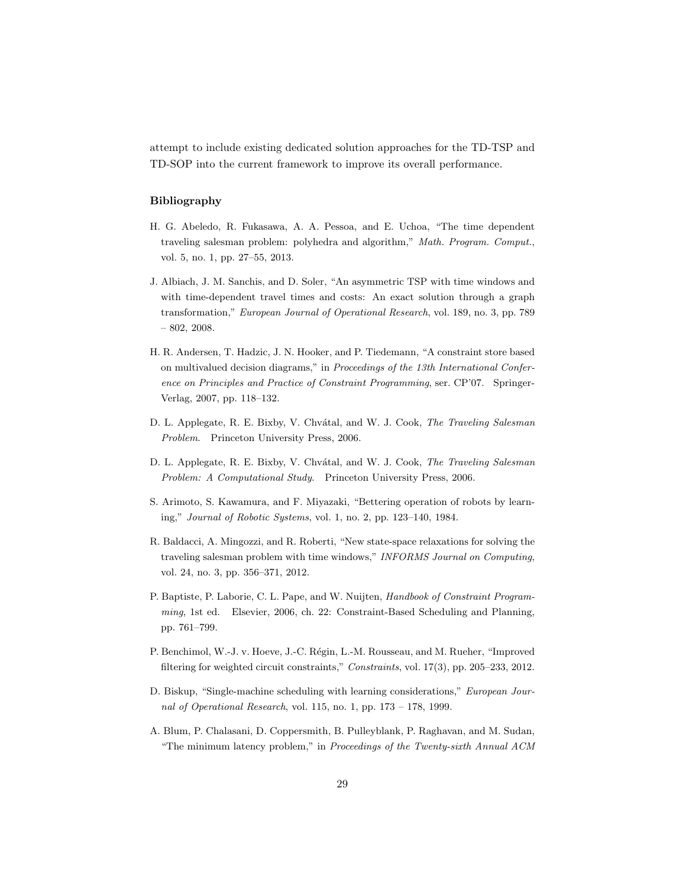attempt to include existing dedicated solution approaches for the TD-TSP and TD-SOP into the current framework to improve its overall performance.

## Bibliography

- <span id="page-28-4"></span>H. G. Abeledo, R. Fukasawa, A. A. Pessoa, and E. Uchoa, "The time dependent traveling salesman problem: polyhedra and algorithm," Math. Program. Comput., vol. 5, no. 1, pp. 27–55, 2013.
- <span id="page-28-7"></span>J. Albiach, J. M. Sanchis, and D. Soler, "An asymmetric TSP with time windows and with time-dependent travel times and costs: An exact solution through a graph transformation," European Journal of Operational Research, vol. 189, no. 3, pp. 789 – 802, 2008.
- <span id="page-28-6"></span>H. R. Andersen, T. Hadzic, J. N. Hooker, and P. Tiedemann, "A constraint store based on multivalued decision diagrams," in Proceedings of the 13th International Conference on Principles and Practice of Constraint Programming, ser. CP'07. Springer-Verlag, 2007, pp. 118–132.
- <span id="page-28-9"></span>D. L. Applegate, R. E. Bixby, V. Chvátal, and W. J. Cook, The Traveling Salesman Problem. Princeton University Press, 2006.
- <span id="page-28-3"></span>D. L. Applegate, R. E. Bixby, V. Chvátal, and W. J. Cook, The Traveling Salesman Problem: A Computational Study. Princeton University Press, 2006.
- <span id="page-28-0"></span>S. Arimoto, S. Kawamura, and F. Miyazaki, "Bettering operation of robots by learning," Journal of Robotic Systems, vol. 1, no. 2, pp. 123–140, 1984.
- <span id="page-28-8"></span>R. Baldacci, A. Mingozzi, and R. Roberti, "New state-space relaxations for solving the traveling salesman problem with time windows," INFORMS Journal on Computing, vol. 24, no. 3, pp. 356–371, 2012.
- <span id="page-28-5"></span>P. Baptiste, P. Laborie, C. L. Pape, and W. Nuijten, Handbook of Constraint Programming, 1st ed. Elsevier, 2006, ch. 22: Constraint-Based Scheduling and Planning, pp. 761–799.
- <span id="page-28-10"></span>P. Benchimol, W.-J. v. Hoeve, J.-C. Régin, L.-M. Rousseau, and M. Rueher, "Improved filtering for weighted circuit constraints," Constraints, vol. 17(3), pp. 205–233, 2012.
- <span id="page-28-1"></span>D. Biskup, "Single-machine scheduling with learning considerations," European Journal of Operational Research, vol. 115, no. 1, pp. 173 – 178, 1999.
- <span id="page-28-2"></span>A. Blum, P. Chalasani, D. Coppersmith, B. Pulleyblank, P. Raghavan, and M. Sudan, "The minimum latency problem," in Proceedings of the Twenty-sixth Annual ACM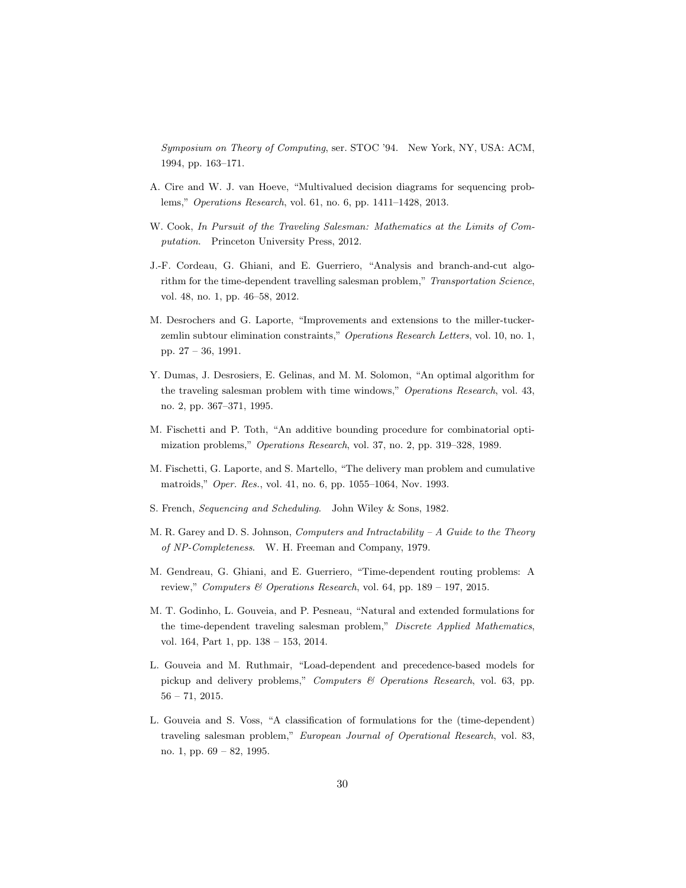Symposium on Theory of Computing, ser. STOC '94. New York, NY, USA: ACM, 1994, pp. 163–171.

- <span id="page-29-5"></span>A. Cire and W. J. van Hoeve, "Multivalued decision diagrams for sequencing problems," Operations Research, vol. 61, no. 6, pp. 1411–1428, 2013.
- <span id="page-29-0"></span>W. Cook, In Pursuit of the Traveling Salesman: Mathematics at the Limits of Computation. Princeton University Press, 2012.
- <span id="page-29-8"></span>J.-F. Cordeau, G. Ghiani, and E. Guerriero, "Analysis and branch-and-cut algorithm for the time-dependent travelling salesman problem," Transportation Science, vol. 48, no. 1, pp. 46–58, 2012.
- <span id="page-29-11"></span>M. Desrochers and G. Laporte, "Improvements and extensions to the miller-tuckerzemlin subtour elimination constraints," Operations Research Letters, vol. 10, no. 1, pp. 27 – 36, 1991.
- <span id="page-29-12"></span>Y. Dumas, J. Desrosiers, E. Gelinas, and M. M. Solomon, "An optimal algorithm for the traveling salesman problem with time windows," Operations Research, vol. 43, no. 2, pp. 367–371, 1995.
- <span id="page-29-6"></span>M. Fischetti and P. Toth, "An additive bounding procedure for combinatorial optimization problems," Operations Research, vol. 37, no. 2, pp. 319–328, 1989.
- <span id="page-29-3"></span>M. Fischetti, G. Laporte, and S. Martello, "The delivery man problem and cumulative matroids," Oper. Res., vol. 41, no. 6, pp. 1055–1064, Nov. 1993.
- <span id="page-29-2"></span>S. French, Sequencing and Scheduling. John Wiley & Sons, 1982.
- <span id="page-29-1"></span>M. R. Garey and D. S. Johnson, *Computers and Intractability – A Guide to the Theory* of NP-Completeness. W. H. Freeman and Company, 1979.
- <span id="page-29-4"></span>M. Gendreau, G. Ghiani, and E. Guerriero, "Time-dependent routing problems: A review," Computers & Operations Research, vol. 64, pp. 189 – 197, 2015.
- <span id="page-29-10"></span>M. T. Godinho, L. Gouveia, and P. Pesneau, "Natural and extended formulations for the time-dependent traveling salesman problem," Discrete Applied Mathematics, vol. 164, Part 1, pp. 138 – 153, 2014.
- <span id="page-29-9"></span>L. Gouveia and M. Ruthmair, "Load-dependent and precedence-based models for pickup and delivery problems," Computers & Operations Research, vol. 63, pp. 56 – 71, 2015.
- <span id="page-29-7"></span>L. Gouveia and S. Voss, "A classification of formulations for the (time-dependent) traveling salesman problem," European Journal of Operational Research, vol. 83, no. 1, pp. 69 – 82, 1995.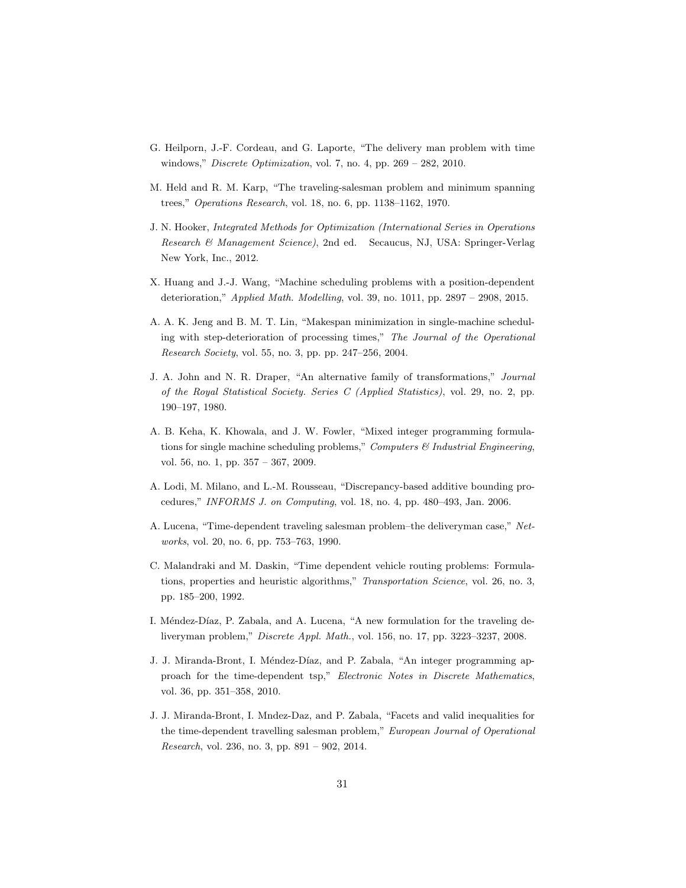- <span id="page-30-11"></span>G. Heilporn, J.-F. Cordeau, and G. Laporte, "The delivery man problem with time windows," *Discrete Optimization*, vol. 7, no. 4, pp.  $269 - 282$ , 2010.
- <span id="page-30-7"></span>M. Held and R. M. Karp, "The traveling-salesman problem and minimum spanning trees," Operations Research, vol. 18, no. 6, pp. 1138–1162, 1970.
- <span id="page-30-8"></span>J. N. Hooker, Integrated Methods for Optimization (International Series in Operations Research & Management Science), 2nd ed. Secaucus, NJ, USA: Springer-Verlag New York, Inc., 2012.
- <span id="page-30-1"></span>X. Huang and J.-J. Wang, "Machine scheduling problems with a position-dependent deterioration," Applied Math. Modelling, vol. 39, no. 1011, pp. 2897 – 2908, 2015.
- <span id="page-30-0"></span>A. A. K. Jeng and B. M. T. Lin, "Makespan minimization in single-machine scheduling with step-deterioration of processing times," The Journal of the Operational Research Society, vol. 55, no. 3, pp. pp. 247–256, 2004.
- <span id="page-30-12"></span>J. A. John and N. R. Draper, "An alternative family of transformations," Journal of the Royal Statistical Society. Series C (Applied Statistics), vol. 29, no. 2, pp. 190–197, 1980.
- <span id="page-30-4"></span>A. B. Keha, K. Khowala, and J. W. Fowler, "Mixed integer programming formulations for single machine scheduling problems," Computers  $\mathcal C$  Industrial Engineering, vol. 56, no. 1, pp. 357 – 367, 2009.
- <span id="page-30-9"></span>A. Lodi, M. Milano, and L.-M. Rousseau, "Discrepancy-based additive bounding procedures," INFORMS J. on Computing, vol. 18, no. 4, pp. 480–493, Jan. 2006.
- <span id="page-30-2"></span>A. Lucena, "Time-dependent traveling salesman problem–the deliveryman case," Networks, vol. 20, no. 6, pp. 753–763, 1990.
- <span id="page-30-6"></span>C. Malandraki and M. Daskin, "Time dependent vehicle routing problems: Formulations, properties and heuristic algorithms," Transportation Science, vol. 26, no. 3, pp. 185–200, 1992.
- <span id="page-30-3"></span>I. Méndez-Díaz, P. Zabala, and A. Lucena, "A new formulation for the traveling deliveryman problem," Discrete Appl. Math., vol. 156, no. 17, pp. 3223–3237, 2008.
- <span id="page-30-5"></span>J. J. Miranda-Bront, I. Méndez-Díaz, and P. Zabala, "An integer programming approach for the time-dependent tsp," Electronic Notes in Discrete Mathematics, vol. 36, pp. 351–358, 2010.
- <span id="page-30-10"></span>J. J. Miranda-Bront, I. Mndez-Daz, and P. Zabala, "Facets and valid inequalities for the time-dependent travelling salesman problem," European Journal of Operational Research, vol. 236, no. 3, pp. 891 – 902, 2014.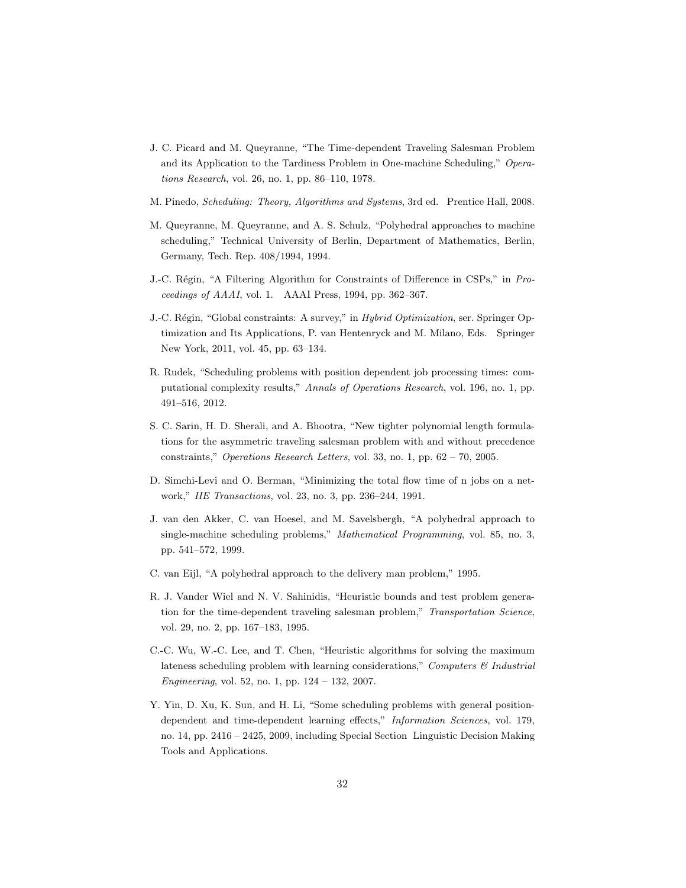- <span id="page-31-8"></span>J. C. Picard and M. Queyranne, "The Time-dependent Traveling Salesman Problem and its Application to the Tardiness Problem in One-machine Scheduling," Operations Research, vol. 26, no. 1, pp. 86–110, 1978.
- <span id="page-31-0"></span>M. Pinedo, Scheduling: Theory, Algorithms and Systems, 3rd ed. Prentice Hall, 2008.
- <span id="page-31-6"></span>M. Queyranne, M. Queyranne, and A. S. Schulz, "Polyhedral approaches to machine scheduling," Technical University of Berlin, Department of Mathematics, Berlin, Germany, Tech. Rep. 408/1994, 1994.
- <span id="page-31-10"></span>J.-C. Régin, "A Filtering Algorithm for Constraints of Difference in CSPs," in Proceedings of AAAI, vol. 1. AAAI Press, 1994, pp. 362–367.
- <span id="page-31-9"></span>J.-C. Régin, "Global constraints: A survey," in Hybrid Optimization, ser. Springer Optimization and Its Applications, P. van Hentenryck and M. Milano, Eds. Springer New York, 2011, vol. 45, pp. 63–134.
- <span id="page-31-1"></span>R. Rudek, "Scheduling problems with position dependent job processing times: computational complexity results," Annals of Operations Research, vol. 196, no. 1, pp. 491–516, 2012.
- <span id="page-31-12"></span>S. C. Sarin, H. D. Sherali, and A. Bhootra, "New tighter polynomial length formulations for the asymmetric traveling salesman problem with and without precedence constraints," Operations Research Letters, vol. 33, no. 1, pp. 62 – 70, 2005.
- <span id="page-31-4"></span>D. Simchi-Levi and O. Berman, "Minimizing the total flow time of n jobs on a network," IIE Transactions, vol. 23, no. 3, pp. 236–244, 1991.
- <span id="page-31-7"></span>J. van den Akker, C. van Hoesel, and M. Savelsbergh, "A polyhedral approach to single-machine scheduling problems," Mathematical Programming, vol. 85, no. 3, pp. 541–572, 1999.
- <span id="page-31-5"></span>C. van Eijl, "A polyhedral approach to the delivery man problem," 1995.
- <span id="page-31-11"></span>R. J. Vander Wiel and N. V. Sahinidis, "Heuristic bounds and test problem generation for the time-dependent traveling salesman problem," Transportation Science, vol. 29, no. 2, pp. 167–183, 1995.
- <span id="page-31-2"></span>C.-C. Wu, W.-C. Lee, and T. Chen, "Heuristic algorithms for solving the maximum lateness scheduling problem with learning considerations," Computers  $\mathcal{B}$  Industrial Engineering, vol. 52, no. 1, pp. 124 – 132, 2007.
- <span id="page-31-3"></span>Y. Yin, D. Xu, K. Sun, and H. Li, "Some scheduling problems with general positiondependent and time-dependent learning effects," Information Sciences, vol. 179, no. 14, pp. 2416 – 2425, 2009, including Special Section Linguistic Decision Making Tools and Applications.